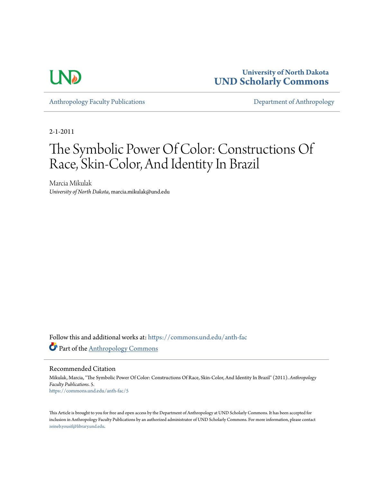

**University of North Dakota [UND Scholarly Commons](https://commons.und.edu?utm_source=commons.und.edu%2Fanth-fac%2F5&utm_medium=PDF&utm_campaign=PDFCoverPages)**

[Anthropology Faculty Publications](https://commons.und.edu/anth-fac?utm_source=commons.und.edu%2Fanth-fac%2F5&utm_medium=PDF&utm_campaign=PDFCoverPages) **[Department of Anthropology](https://commons.und.edu/anth?utm_source=commons.und.edu%2Fanth-fac%2F5&utm_medium=PDF&utm_campaign=PDFCoverPages)** 

2-1-2011

# The Symbolic Power Of Color: Constructions Of Race, Skin-Color, And Identity In Brazil

Marcia Mikulak *University of North Dakota*, marcia.mikulak@und.edu

Follow this and additional works at: [https://commons.und.edu/anth-fac](https://commons.und.edu/anth-fac?utm_source=commons.und.edu%2Fanth-fac%2F5&utm_medium=PDF&utm_campaign=PDFCoverPages) Part of the [Anthropology Commons](http://network.bepress.com/hgg/discipline/318?utm_source=commons.und.edu%2Fanth-fac%2F5&utm_medium=PDF&utm_campaign=PDFCoverPages)

Recommended Citation

Mikulak, Marcia, "The Symbolic Power Of Color: Constructions Of Race, Skin-Color, And Identity In Brazil" (2011). *Anthropology Faculty Publications*. 5. [https://commons.und.edu/anth-fac/5](https://commons.und.edu/anth-fac/5?utm_source=commons.und.edu%2Fanth-fac%2F5&utm_medium=PDF&utm_campaign=PDFCoverPages)

This Article is brought to you for free and open access by the Department of Anthropology at UND Scholarly Commons. It has been accepted for inclusion in Anthropology Faculty Publications by an authorized administrator of UND Scholarly Commons. For more information, please contact [zeineb.yousif@library.und.edu](mailto:zeineb.yousif@library.und.edu).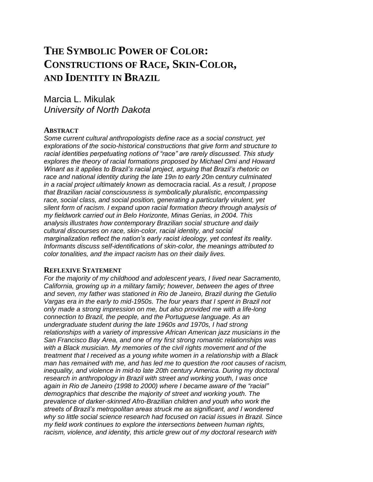# **THE SYMBOLIC POWER OF COLOR: CONSTRUCTIONS OF RACE, SKIN-COLOR, AND IDENTITY IN BRAZIL**

Marcia L. Mikulak *University of North Dakota*

#### **ABSTRACT**

*Some current cultural anthropologists define race as a social construct, yet explorations of the socio-historical constructions that give form and structure to racial identities perpetuating notions of "race" are rarely discussed. This study explores the theory of racial formations proposed by Michael Omi and Howard Winant as it applies to Brazil's racial project, arguing that Brazil's rhetoric on race and national identity during the late 19th to early 20th century culminated in a racial project ultimately known as* democracia racial*. As a result, I propose that Brazilian racial consciousness is symbolically pluralistic, encompassing race, social class, and social position, generating a particularly virulent, yet silent form of racism. I expand upon racial formation theory through analysis of my fieldwork carried out in Belo Horizonte, Minas Gerias, in 2004. This analysis illustrates how contemporary Brazilian social structure and daily cultural discourses on race, skin-color, racial identity, and social marginalization reflect the nation's early racist ideology, yet contest its reality. Informants discuss self-identifications of skin-color, the meanings attributed to color tonalities, and the impact racism has on their daily lives.*

#### **REFLEXIVE STATEMENT**

*For the majority of my childhood and adolescent years, I lived near Sacramento, California, growing up in a military family; however, between the ages of three and seven, my father was stationed in Rio de Janeiro, Brazil during the Getulio Vargas era in the early to mid-1950s. The four years that I spent in Brazil not only made a strong impression on me, but also provided me with a life-long connection to Brazil, the people, and the Portuguese language. As an undergraduate student during the late 1960s and 1970s, I had strong relationships with a variety of impressive African American jazz musicians in the San Francisco Bay Area, and one of my first strong romantic relationships was with a Black musician. My memories of the civil rights movement and of the treatment that I received as a young white women in a relationship with a Black man has remained with me, and has led me to question the root causes of racism, inequality, and violence in mid-to late 20th century America. During my doctoral research in anthropology in Brazil with street and working youth, I was once again in Rio de Janeiro (1998 to 2000) where I became aware of the "racial" demographics that describe the majority of street and working youth. The prevalence of darker-skinned Afro-Brazilian children and youth who work the streets of Brazil's metropolitan areas struck me as significant, and I wondered why so little social science research had focused on racial issues in Brazil. Since my field work continues to explore the intersections between human rights, racism, violence, and identity, this article grew out of my doctoral research with*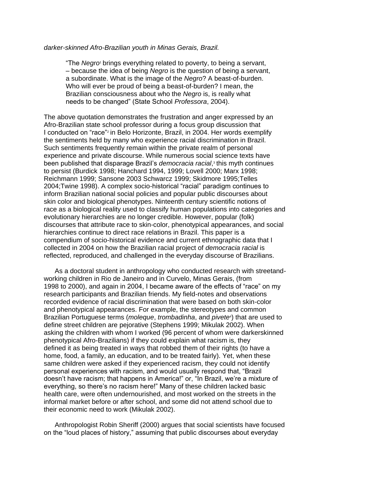#### *darker-skinned Afro-Brazilian youth in Minas Gerais, Brazil.*

"The *Negro*<sup>1</sup> brings everything related to poverty, to being a servant, – because the idea of being *Negro* is the question of being a servant, a subordinate. What is the image of the *Negro*? A beast-of-burden. Who will ever be proud of being a beast-of-burden? I mean, the Brazilian consciousness about who the *Negro* is, is really what needs to be changed" (State School *Professora*, 2004).

The above quotation demonstrates the frustration and anger expressed by an Afro-Brazilian state school professor during a focus group discussion that I conducted on "race"<sup>2</sup> in Belo Horizonte, Brazil, in 2004. Her words exemplify the sentiments held by many who experience racial discrimination in Brazil. Such sentiments frequently remain within the private realm of personal experience and private discourse. While numerous social science texts have been published that disparage Brazil's *democracia racial*,<sup>3</sup> this myth continues to persist (Burdick 1998; Hanchard 1994, 1999; Lovell 2000; Marx 1998; Reichmann 1999; Sansone 2003 Schwarcz 1999; Skidmore 1995;Telles 2004;Twine 1998). A complex socio-historical "racial" paradigm continues to inform Brazilian national social policies and popular public discourses about skin color and biological phenotypes. Ninteenth century scientific notions of race as a biological reality used to classify human populations into categories and evolutionary hierarchies are no longer credible. However, popular (folk) discourses that attribute race to skin-color, phenotypical appearances, and social hierarchies continue to direct race relations in Brazil. This paper is a compendium of socio-historical evidence and current ethnographic data that I collected in 2004 on how the Brazilian racial project of *democracia racial* is reflected, reproduced, and challenged in the everyday discourse of Brazilians.

As a doctoral student in anthropology who conducted research with streetandworking children in Rio de Janeiro and in Curvelo, Minas Gerais, (from 1998 to 2000), and again in 2004, I became aware of the effects of "race" on my research participants and Brazilian friends. My field-notes and observations recorded evidence of racial discrimination that were based on both skin-color and phenotypical appearances. For example, the stereotypes and common Brazilian Portuguese terms (*moleque, trombadinha,* and *pivete*<sup>4</sup>) that are used to define street children are pejorative (Stephens 1999; Mikulak 2002). When asking the children with whom I worked (96 percent of whom were darkerskinned phenotypical Afro-Brazilians) if they could explain what racism is, they defined it as being treated in ways that robbed them of their rights (to have a home, food, a family, an education, and to be treated fairly). Yet, when these same children were asked if they experienced racism, they could not identify personal experiences with racism, and would usually respond that, "Brazil doesn't have racism; that happens in America!" or, "In Brazil, we're a mixture of everything, so there's no racism here!" Many of these children lacked basic health care, were often undernourished, and most worked on the streets in the informal market before or after school, and some did not attend school due to their economic need to work (Mikulak 2002).

Anthropologist Robin Sheriff (2000) argues that social scientists have focused on the "loud places of history," assuming that public discourses about everyday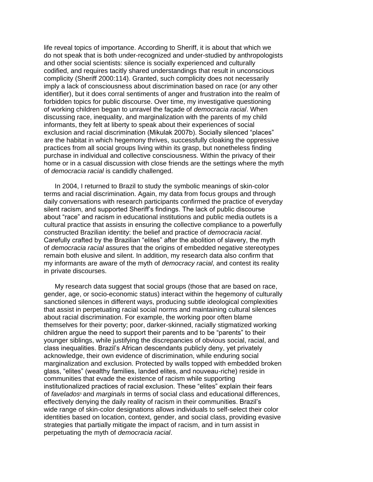life reveal topics of importance. According to Sheriff, it is about that which we do not speak that is both under-recognized and under-studied by anthropologists and other social scientists: silence is socially experienced and culturally codified, and requires tacitly shared understandings that result in unconscious complicity (Sheriff 2000:114). Granted, such complicity does not necessarily imply a lack of consciousness about discrimination based on race (or any other identifier), but it does corral sentiments of anger and frustration into the realm of forbidden topics for public discourse. Over time, my investigative questioning of working children began to unravel the façade of *democracia racial*. When discussing race, inequality, and marginalization with the parents of my child informants, they felt at liberty to speak about their experiences of social exclusion and racial discrimination (Mikulak 2007b). Socially silenced "places" are the habitat in which hegemony thrives, successfully cloaking the oppressive practices from all social groups living within its grasp, but nonetheless finding purchase in individual and collective consciousness. Within the privacy of their home or in a casual discussion with close friends are the settings where the myth of *democracia racial* is candidly challenged.

In 2004, I returned to Brazil to study the symbolic meanings of skin-color terms and racial discrimination. Again, my data from focus groups and through daily conversations with research participants confirmed the practice of everyday silent racism, and supported Sheriff's findings. The lack of public discourse about "race" and racism in educational institutions and public media outlets is a cultural practice that assists in ensuring the collective compliance to a powerfully constructed Brazilian identity: the belief and practice of *democracia racial*. Carefully crafted by the Brazilian "elites" after the abolition of slavery, the myth of *democracia racial* assures that the origins of embedded negative stereotypes remain both elusive and silent. In addition, my research data also confirm that my informants are aware of the myth of *democracy racial*, and contest its reality in private discourses.

My research data suggest that social groups (those that are based on race, gender, age, or socio-economic status) interact within the hegemony of culturally sanctioned silences in different ways, producing subtle ideological complexities that assist in perpetuating racial social norms and maintaining cultural silences about racial discrimination. For example, the working poor often blame themselves for their poverty; poor, darker-skinned, racially stigmatized working children argue the need to support their parents and to be "parents" to their younger siblings, while justifying the discrepancies of obvious social, racial, and class inequalities. Brazil's African descendants publicly deny, yet privately acknowledge, their own evidence of discrimination, while enduring social marginalization and exclusion. Protected by walls topped with embedded broken glass, "elites" (wealthy families, landed elites, and nouveau-riche) reside in communities that evade the existence of racism while supporting institutionalized practices of racial exclusion. These "elites" explain their fears of *favelados*<sup>5</sup> and *marginals* in terms of social class and educational differences, effectively denying the daily reality of racism in their communities. Brazil's wide range of skin-color designations allows individuals to self-select their color identities based on location, context, gender, and social class, providing evasive strategies that partially mitigate the impact of racism, and in turn assist in perpetuating the myth of *democracia racial*.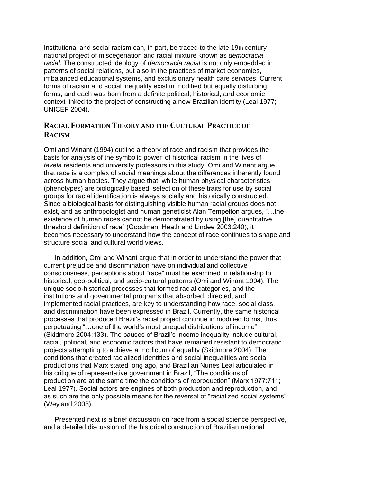Institutional and social racism can, in part, be traced to the late 19th century national project of miscegenation and racial mixture known as *democracia racial*. The constructed ideology of *democracia racial* is not only embedded in patterns of social relations, but also in the practices of market economies, imbalanced educational systems, and exclusionary health care services. Current forms of racism and social inequality exist in modified but equally disturbing forms, and each was born from a definite political, historical, and economic context linked to the project of constructing a new Brazilian identity (Leal 1977; UNICEF 2004).

# **RACIAL FORMATION THEORY AND THE CULTURAL PRACTICE OF RACISM**

Omi and Winant (1994) outline a theory of race and racism that provides the basis for analysis of the symbolic power<sup>6</sup> of historical racism in the lives of *favela* residents and university professors in this study. Omi and Winant argue that race is a complex of social meanings about the differences inherently found across human bodies. They argue that, while human physical characteristics (phenotypes) are biologically based, selection of these traits for use by social groups for racial identification is always socially and historically constructed. Since a biological basis for distinguishing visible human racial groups does not exist, and as anthropologist and human geneticist Alan Tempelton argues, "…the existence of human races cannot be demonstrated by using [the] quantitative threshold definition of race" (Goodman, Heath and Lindee 2003:240), it becomes necessary to understand how the concept of race continues to shape and structure social and cultural world views.

In addition, Omi and Winant argue that in order to understand the power that current prejudice and discrimination have on individual and collective consciousness, perceptions about "race" must be examined in relationship to historical, geo-political, and socio-cultural patterns (Omi and Winant 1994). The unique socio-historical processes that formed racial categories, and the institutions and governmental programs that absorbed, directed, and implemented racial practices, are key to understanding how race, social class, and discrimination have been expressed in Brazil. Currently, the same historical processes that produced Brazil's racial project continue in modified forms, thus perpetuating "…one of the world's most unequal distributions of income" (Skidmore 2004:133). The causes of Brazil's income inequality include cultural, racial, political, and economic factors that have remained resistant to democratic projects attempting to achieve a modicum of equality (Skidmore 2004). The conditions that created racialized identities and social inequalities are social productions that Marx stated long ago, and Brazilian Nunes Leal articulated in his critique of representative government in Brazil, "The conditions of production are at the same time the conditions of reproduction" (Marx 1977:711; Leal 1977). Social actors are engines of both production and reproduction, and as such are the only possible means for the reversal of "racialized social systems" (Weyland 2008).

Presented next is a brief discussion on race from a social science perspective, and a detailed discussion of the historical construction of Brazilian national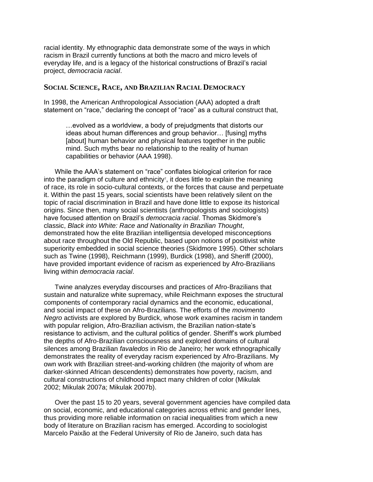racial identity. My ethnographic data demonstrate some of the ways in which racism in Brazil currently functions at both the macro and micro levels of everyday life, and is a legacy of the historical constructions of Brazil's racial project, *democracia racial*.

#### **SOCIAL SCIENCE, RACE, AND BRAZILIAN RACIAL DEMOCRACY**

In 1998, the American Anthropological Association (AAA) adopted a draft statement on "race," declaring the concept of "race" as a cultural construct that,

…evolved as a worldview, a body of prejudgments that distorts our ideas about human differences and group behavior… [fusing] myths [about] human behavior and physical features together in the public mind. Such myths bear no relationship to the reality of human capabilities or behavior (AAA 1998).

While the AAA's statement on "race" conflates biological criterion for race into the paradigm of culture and ethnicity<sup>7</sup>, it does little to explain the meaning of race, its role in socio-cultural contexts, or the forces that cause and perpetuate it. Within the past 15 years, social scientists have been relatively silent on the topic of racial discrimination in Brazil and have done little to expose its historical origins. Since then, many social scientists (anthropologists and sociologists) have focused attention on Brazil's *democracia racial*. Thomas Skidmore's classic, *Black into White: Race and Nationality in Brazilian Thought*, demonstrated how the elite Brazilian intelligentsia developed misconceptions about race throughout the Old Republic, based upon notions of positivist white superiority embedded in social science theories (Skidmore 1995). Other scholars such as Twine (1998), Reichmann (1999), Burdick (1998), and Sheriff (2000), have provided important evidence of racism as experienced by Afro-Brazilians living within *democracia racial*.

Twine analyzes everyday discourses and practices of Afro-Brazilians that sustain and naturalize white supremacy, while Reichmann exposes the structural components of contemporary racial dynamics and the economic, educational, and social impact of these on Afro-Brazilians. The efforts of the *movimento Negro* activists are explored by Burdick, whose work examines racism in tandem with popular religion, Afro-Brazilian activism, the Brazilian nation-state's resistance to activism, and the cultural politics of gender. Sheriff's work plumbed the depths of Afro-Brazilian consciousness and explored domains of cultural silences among Brazilian *favaledos* in Rio de Janeiro; her work ethnographically demonstrates the reality of everyday racism experienced by Afro-Brazilians. My own work with Brazilian street-and-working children (the majority of whom are darker-skinned African descendents) demonstrates how poverty, racism, and cultural constructions of childhood impact many children of color (Mikulak 2002; Mikulak 2007a; Mikulak 2007b).

Over the past 15 to 20 years, several government agencies have compiled data on social, economic, and educational categories across ethnic and gender lines, thus providing more reliable information on racial inequalities from which a new body of literature on Brazilian racism has emerged. According to sociologist Marcelo Paixão at the Federal University of Rio de Janeiro, such data has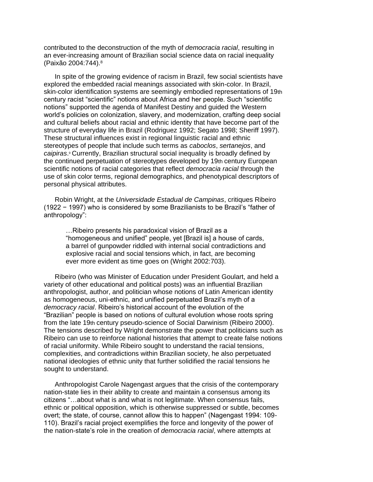contributed to the deconstruction of the myth of *democracia racial*, resulting in an ever-increasing amount of Brazilian social science data on racial inequality (Paixão 2004:744).<sup>8</sup>

In spite of the growing evidence of racism in Brazil, few social scientists have explored the embedded racial meanings associated with skin-color. In Brazil, skin-color identification systems are seemingly embodied representations of 19th century racist "scientific" notions about Africa and her people. Such "scientific notions" supported the agenda of Manifest Destiny and guided the Western world's policies on colonization, slavery, and modernization, crafting deep social and cultural beliefs about racial and ethnic identity that have become part of the structure of everyday life in Brazil (Rodriguez 1992; Segato 1998; Sheriff 1997). These structural influences exist in regional linguistic racial and ethnic stereotypes of people that include such terms as *caboclos*, *sertanejos*, and *caipiras*. <sup>9</sup> Currently, Brazilian structural social inequality is broadly defined by the continued perpetuation of stereotypes developed by 19th century European scientific notions of racial categories that reflect *democracia racial* through the use of skin color terms, regional demographics, and phenotypical descriptors of personal physical attributes.

Robin Wright, at the *Universidade Estadual de Campinas*, critiques Ribeiro (1922 − 1997) who is considered by some Brazilianists to be Brazil's "father of anthropology":

…Ribeiro presents his paradoxical vision of Brazil as a "homogeneous and unified" people, yet [Brazil is] a house of cards, a barrel of gunpowder riddled with internal social contradictions and explosive racial and social tensions which, in fact, are becoming ever more evident as time goes on (Wright 2002:703).

Ribeiro (who was Minister of Education under President Goulart, and held a variety of other educational and political posts) was an influential Brazilian anthropologist, author, and politician whose notions of Latin American identity as homogeneous, uni-ethnic, and unified perpetuated Brazil's myth of a *democracy racial*. Ribeiro's historical account of the evolution of the "Brazilian" people is based on notions of cultural evolution whose roots spring from the late 19th century pseudo-science of Social Darwinism (Ribeiro 2000). The tensions described by Wright demonstrate the power that politicians such as Ribeiro can use to reinforce national histories that attempt to create false notions of racial uniformity. While Ribeiro sought to understand the racial tensions, complexities, and contradictions within Brazilian society, he also perpetuated national ideologies of ethnic unity that further solidified the racial tensions he sought to understand.

Anthropologist Carole Nagengast argues that the crisis of the contemporary nation-state lies in their ability to create and maintain a consensus among its citizens "…about what is and what is not legitimate. When consensus fails, ethnic or political opposition, which is otherwise suppressed or subtle, becomes overt; the state, of course, cannot allow this to happen" (Nagengast 1994: 109- 110). Brazil's racial project exemplifies the force and longevity of the power of the nation-state's role in the creation of *democracia racial*, where attempts at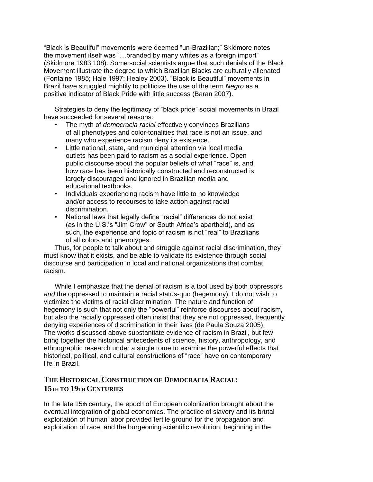"Black is Beautiful" movements were deemed "un-Brazilian;" Skidmore notes the movement itself was "…branded by many whites as a foreign import" (Skidmore 1983:108). Some social scientists argue that such denials of the Black Movement illustrate the degree to which Brazilian Blacks are culturally alienated (Fontaine 1985; Hale 1997; Healey 2003). "Black is Beautiful" movements in Brazil have struggled mightily to politicize the use of the term *Negro* as a positive indicator of Black Pride with little success (Baran 2007).

Strategies to deny the legitimacy of "black pride" social movements in Brazil have succeeded for several reasons:

- The myth of *democracia racial* effectively convinces Brazilians of all phenotypes and color-tonalities that race is not an issue, and many who experience racism deny its existence.
- Little national, state, and municipal attention via local media outlets has been paid to racism as a social experience. Open public discourse about the popular beliefs of what "race" is, and how race has been historically constructed and reconstructed is largely discouraged and ignored in Brazilian media and educational textbooks.
- Individuals experiencing racism have little to no knowledge and/or access to recourses to take action against racial discrimination.
- National laws that legally define "racial" differences do not exist (as in the U.S.'s "Jim Crow" or South Africa's apartheid), and as such, the experience and topic of racism is not "real" to Brazilians of all colors and phenotypes.

Thus, for people to talk about and struggle against racial discrimination, they must know that it exists, and be able to validate its existence through social discourse and participation in local and national organizations that combat racism.

While I emphasize that the denial of racism is a tool used by both oppressors *and* the oppressed to maintain a racial status-quo (hegemony), I do not wish to victimize the victims of racial discrimination. The nature and function of hegemony is such that not only the "powerful" reinforce discourses about racism, but also the racially oppressed often insist that they are not oppressed, frequently denying experiences of discrimination in their lives (de Paula Souza 2005). The works discussed above substantiate evidence of racism in Brazil, but few bring together the historical antecedents of science, history, anthropology, and ethnographic research under a single tome to examine the powerful effects that historical, political, and cultural constructions of "race" have on contemporary life in Brazil.

# **THE HISTORICAL CONSTRUCTION OF DEMOCRACIA RACIAL: 15TH TO 19TH CENTURIES**

In the late 15th century, the epoch of European colonization brought about the eventual integration of global economics. The practice of slavery and its brutal exploitation of human labor provided fertile ground for the propagation and exploitation of race, and the burgeoning scientific revolution, beginning in the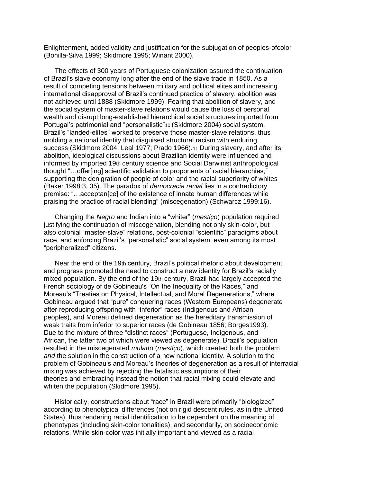Enlightenment, added validity and justification for the subjugation of peoples-ofcolor (Bonilla-Silva 1999; Skidmore 1995; Winant 2000).

The effects of 300 years of Portuguese colonization assured the continuation of Brazil's slave economy long after the end of the slave trade in 1850. As a result of competing tensions between military and political elites and increasing international disapproval of Brazil's continued practice of slavery, abolition was not achieved until 1888 (Skidmore 1999). Fearing that abolition of slavery, and the social system of master-slave relations would cause the loss of personal wealth and disrupt long-established hierarchical social structures imported from Portugal's patrimonial and "personalistic"10 (Skidmore 2004) social system, Brazil's "landed-elites" worked to preserve those master-slave relations, thus molding a national identity that disguised structural racism with enduring success (Skidmore 2004; Leal 1977; Prado 1966).11 During slavery, and after its abolition, ideological discussions about Brazilian identity were influenced and informed by imported 19th century science and Social Darwinist anthropological thought "…offer[ing] scientific validation to proponents of racial hierarchies," supporting the denigration of people of color and the racial superiority of whites (Baker 1998:3, 35). The paradox of *democracia racial* lies in a contradictory premise: "…acceptan[ce] of the existence of innate human differences while praising the practice of racial blending" (miscegenation) (Schwarcz 1999:16).

Changing the *Negro* and Indian into a "whiter" (*mestiço*) population required justifying the continuation of miscegenation, blending not only skin-color, but also colonial "master-slave" relations, post-colonial "scientific" paradigms about race, and enforcing Brazil's "personalistic" social system, even among its most "peripheralized" citizens.

Near the end of the 19th century, Brazil's political rhetoric about development and progress promoted the need to construct a new identity for Brazil's racially mixed population. By the end of the 19th century, Brazil had largely accepted the French sociology of de Gobineau's "On the Inequality of the Races," and Moreau's "Treaties on Physical, Intellectual, and Moral Degenerations," where Gobineau argued that "pure" conquering races (Western Europeans) degenerate after reproducing offspring with "inferior" races (Indigenous and African peoples), and Moreau defined degeneration as the hereditary transmission of weak traits from inferior to superior races (de Gobineau 1856; Borges1993). Due to the mixture of three "distinct races" (Portuguese, Indigenous, and African, the latter two of which were viewed as degenerate), Brazil's population resulted in the miscegenated *mulatto* (*mestiço*), which created both the problem *and* the solution in the construction of a new national identity. A solution to the problem of Gobineau's and Moreau's theories of degeneration as a result of interracial mixing was achieved by rejecting the fatalistic assumptions of their theories and embracing instead the notion that racial mixing could elevate and whiten the population (Skidmore 1995).

Historically, constructions about "race" in Brazil were primarily "biologized" according to phenotypical differences (not on rigid descent rules, as in the United States), thus rendering racial identification to be dependent on the meaning of phenotypes (including skin-color tonalities), and secondarily, on socioeconomic relations. While skin-color was initially important and viewed as a racial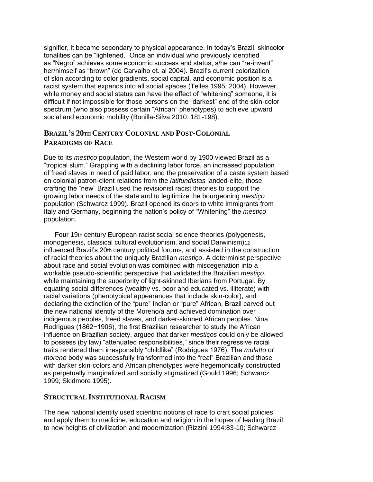signifier, it became secondary to physical appearance. In today's Brazil, skincolor tonalities can be "lightened." Once an individual who previously identified as "Negro" achieves some economic success and status, s/he can "re-invent" her/himself as "brown" (de Carvalho et. al 2004). Brazil's current colorization of skin according to color gradients, social capital, and economic position is a racist system that expands into all social spaces (Telles 1995; 2004). However, while money and social status can have the effect of "whitening" someone, it is difficult if not impossible for those persons on the "darkest" end of the skin-color spectrum (who also possess certain "African" phenotypes) to achieve upward social and economic mobility (Bonilla-Silva 2010: 181-198).

# **BRAZIL'S 20TH CENTURY COLONIAL AND POST-COLONIAL PARADIGMS OF RACE**

Due to its *mestiço* population, the Western world by 1900 viewed Brazil as a "tropical slum." Grappling with a declining labor force, an increased population of freed slaves in need of paid labor, and the preservation of a caste system based on colonial patron-client relations from the *latifundistas* landed-elite, those crafting the "new" Brazil used the revisionist racist theories to support the growing labor needs of the state and to legitimize the bourgeoning *mestiço* population (Schwarcz 1999). Brazil opened its doors to white immigrants from Italy and Germany, beginning the nation's policy of "Whitening" the *mestiço* population.

Four 19th century European racist social science theories (polygenesis, monogenesis, classical cultural evolutionism, and social Darwinism)12 influenced Brazil's 20th century political forums, and assisted in the construction of racial theories about the uniquely Brazilian *mestiço*. A determinist perspective about race and social evolution was combined with miscegenation into a workable pseudo-scientific perspective that validated the Brazilian *mestiço*, while maintaining the superiority of light-skinned Iberians from Portugal. By equating social differences (wealthy vs. poor and educated vs. illiterate) with racial variations (phenotypical appearances that include skin-color), and declaring the extinction of the "pure" Indian or "pure" African, Brazil carved out the new national identity of the Moreno/a and achieved domination over indigenous peoples, freed slaves, and darker-skinned African peoples. Nina Rodrigues (1862−1906), the first Brazilian researcher to study the African influence on Brazilian society, argued that darker *mestiços* could only be allowed to possess (by law) "attenuated responsibilities," since their regressive racial traits rendered them irresponsibly "childlike" (Rodrigues 1976). The *mulatto* or *moreno* body was successfully transformed into the "real" Brazilian and those with darker skin-colors and African phenotypes were hegemonically constructed as perpetually marginalized and socially stigmatized (Gould 1996; Schwarcz 1999; Skidmore 1995).

#### **STRUCTURAL INSTITUTIONAL RACISM**

The new national identity used scientific notions of race to craft social policies and apply them to medicine, education and religion in the hopes of leading Brazil to new heights of civilization and modernization (Rizzini 1994:83-10; Schwarcz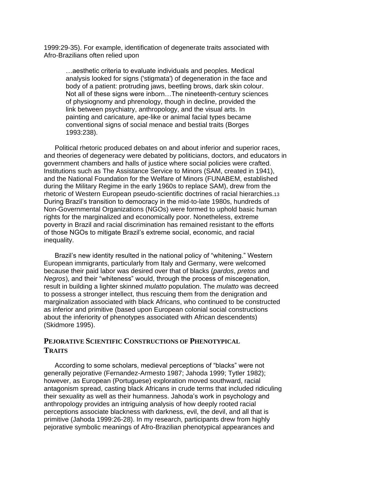1999:29-35). For example, identification of degenerate traits associated with Afro-Brazilians often relied upon

…aesthetic criteria to evaluate individuals and peoples. Medical analysis looked for signs ('stigmata') of degeneration in the face and body of a patient: protruding jaws, beetling brows, dark skin colour. Not all of these signs were inborn…The nineteenth-century sciences of physiognomy and phrenology, though in decline, provided the link between psychiatry, anthropology, and the visual arts. In painting and caricature, ape-like or animal facial types became conventional signs of social menace and bestial traits (Borges 1993:238).

Political rhetoric produced debates on and about inferior and superior races, and theories of degeneracy were debated by politicians, doctors, and educators in government chambers and halls of justice where social policies were crafted. Institutions such as The Assistance Service to Minors (SAM, created in 1941), and the National Foundation for the Welfare of Minors (FUNABEM, established during the Military Regime in the early 1960s to replace SAM), drew from the rhetoric of Western European pseudo-scientific doctrines of racial hierarchies.13 During Brazil's transition to democracy in the mid-to-late 1980s, hundreds of Non-Governmental Organizations (NGOs) were formed to uphold basic human rights for the marginalized and economically poor. Nonetheless, extreme poverty in Brazil and racial discrimination has remained resistant to the efforts of those NGOs to mitigate Brazil's extreme social, economic, and racial inequality.

Brazil's new identity resulted in the national policy of "whitening." Western European immigrants, particularly from Italy and Germany, were welcomed because their paid labor was desired over that of blacks (*pardos*, *pretos* and *Negros*), and their "whiteness" would, through the process of miscegenation, result in building a lighter skinned *mulatto* population. The *mulatto* was decreed to possess a stronger intellect, thus rescuing them from the denigration and marginalization associated with black Africans, who continued to be constructed as inferior and primitive (based upon European colonial social constructions about the inferiority of phenotypes associated with African descendents) (Skidmore 1995).

# **PEJORATIVE SCIENTIFIC CONSTRUCTIONS OF PHENOTYPICAL TRAITS**

According to some scholars, medieval perceptions of "blacks" were not generally pejorative (Fernandez-Armesto 1987; Jahoda 1999; Tytler 1982); however, as European (Portuguese) exploration moved southward, racial antagonism spread, casting black Africans in crude terms that included ridiculing their sexuality as well as their humanness. Jahoda's work in psychology and anthropology provides an intriguing analysis of how deeply rooted racial perceptions associate blackness with darkness, evil, the devil, and all that is primitive (Jahoda 1999:26-28). In my research, participants drew from highly pejorative symbolic meanings of Afro-Brazilian phenotypical appearances and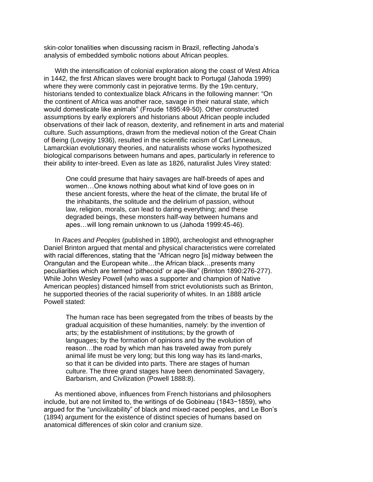skin-color tonalities when discussing racism in Brazil, reflecting Jahoda's analysis of embedded symbolic notions about African peoples.

With the intensification of colonial exploration along the coast of West Africa in 1442, the first African slaves were brought back to Portugal (Jahoda 1999) where they were commonly cast in pejorative terms. By the 19th century, historians tended to contextualize black Africans in the following manner: "On the continent of Africa was another race, savage in their natural state, which would domesticate like animals" (Froude 1895:49-50). Other constructed assumptions by early explorers and historians about African people included observations of their lack of reason, dexterity, and refinement in arts and material culture. Such assumptions, drawn from the medieval notion of the Great Chain of Being (Lovejoy 1936), resulted in the scientific racism of Carl Linneaus, Lamarckian evolutionary theories, and naturalists whose works hypothesized biological comparisons between humans and apes, particularly in reference to their ability to inter-breed. Even as late as 1826, naturalist Jules Virey stated:

One could presume that hairy savages are half-breeds of apes and women…One knows nothing about what kind of love goes on in these ancient forests, where the heat of the climate, the brutal life of the inhabitants, the solitude and the delirium of passion, without law, religion, morals, can lead to daring everything; and these degraded beings, these monsters half-way between humans and apes…will long remain unknown to us (Jahoda 1999:45-46).

In *Races and Peoples* (published in 1890), archeologist and ethnographer Daniel Brinton argued that mental and physical characteristics were correlated with racial differences, stating that the "African negro [is] midway between the Orangutan and the European white…the African black…presents many peculiarities which are termed 'pithecoid' or ape-like" (Brinton 1890:276-277). While John Wesley Powell (who was a supporter and champion of Native American peoples) distanced himself from strict evolutionists such as Brinton, he supported theories of the racial superiority of whites. In an 1888 article Powell stated:

The human race has been segregated from the tribes of beasts by the gradual acquisition of these humanities, namely: by the invention of arts; by the establishment of institutions; by the growth of languages; by the formation of opinions and by the evolution of reason…the road by which man has traveled away from purely animal life must be very long; but this long way has its land-marks, so that it can be divided into parts. There are stages of human culture. The three grand stages have been denominated Savagery, Barbarism, and Civilization (Powell 1888:8).

As mentioned above, influences from French historians and philosophers include, but are not limited to, the writings of de Gobineau (1843−1859), who argued for the "uncivilizability" of black and mixed-raced peoples, and Le Bon's (1894) argument for the existence of distinct species of humans based on anatomical differences of skin color and cranium size.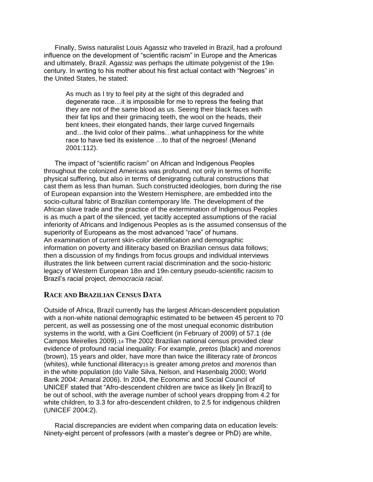Finally, Swiss naturalist Louis Agassiz who traveled in Brazil, had a profound influence on the development of "scientific racism" in Europe and the Americas and ultimately, Brazil. Agassiz was perhaps the ultimate polygenist of the 19th century. In writing to his mother about his first actual contact with "Negroes" in the United States, he stated:

As much as I try to feel pity at the sight of this degraded and degenerate race…it is impossible for me to repress the feeling that they are not of the same blood as us. Seeing their black faces with their fat lips and their grimacing teeth, the wool on the heads, their bent knees, their elongated hands, their large curved fingernails and…the livid color of their palms…what unhappiness for the white race to have tied its existence …to that of the negroes! (Menand 2001:112).

The impact of "scientific racism" on African and Indigenous Peoples throughout the colonized Americas was profound, not only in terms of horrific physical suffering, but also in terms of denigrating cultural constructions that cast them as less than human. Such constructed ideologies, born during the rise of European expansion into the Western Hemisphere, are embedded into the socio-cultural fabric of Brazilian contemporary life. The development of the African slave trade and the practice of the extermination of Indigenous Peoples is as much a part of the silenced, yet tacitly accepted assumptions of the racial inferiority of Africans and Indigenous Peoples as is the assumed consensus of the superiority of Europeans as the most advanced "race" of humans. An examination of current skin-color identification and demographic information on poverty and illiteracy based on Brazilian census data follows; then a discussion of my findings from focus groups and individual interviews illustrates the link between current racial discrimination and the socio-historic legacy of Western European 18th and 19th century pseudo-scientific racism to Brazil's racial project, *democracia racial*.

#### **RACE AND BRAZILIAN CENSUS DATA**

Outside of Africa, Brazil currently has the largest African-descendent population with a non-white national demographic estimated to be between 45 percent to 70 percent, as well as possessing one of the most unequal economic distribution systems in the world, with a Gini Coefficient (in February of 2009) of 57.1 (de Campos Meirelles 2009).14 The 2002 Brazilian national census provided clear evidence of profound racial inequality: For example, *pretos* (black) and *morenos* (brown), 15 years and older, have more than twice the illiteracy rate of *broncos* (whites), while functional illiteracy15 is greater among *pretos* and *morenos* than in the white population (do Valle Silva, Nelson, and Hasenbalg 2000; World Bank 2004: Amaral 2006). In 2004, the Economic and Social Council of UNICEF stated that "Afro-descendent children are twice as likely [in Brazil] to be out of school, with the average number of school years dropping from 4.2 for white children, to 3.3 for afro-descendent children, to 2.5 for indigenous children (UNICEF 2004:2).

Racial discrepancies are evident when comparing data on education levels: Ninety-eight percent of professors (with a master's degree or PhD) are white,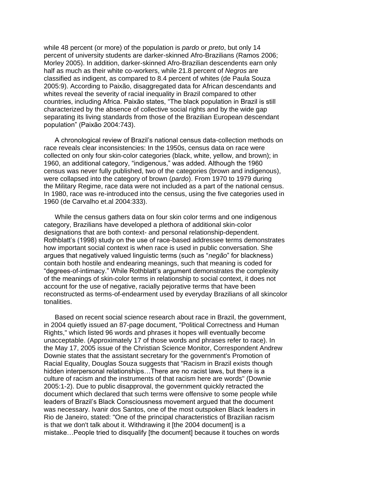while 48 percent (or more) of the population is *pardo* or *preto*, but only 14 percent of university students are darker-skinned Afro-Brazilians (Ramos 2006; Morley 2005). In addition, darker-skinned Afro-Brazilian descendents earn only half as much as their white co-workers, while 21.8 percent of *Negros* are classified as indigent, as compared to 8.4 percent of whites (de Paula Souza 2005:9). According to Paixão, disaggregated data for African descendants and whites reveal the severity of racial inequality in Brazil compared to other countries, including Africa. Paixão states, "The black population in Brazil is still characterized by the absence of collective social rights and by the wide gap separating its living standards from those of the Brazilian European descendant population" (Paixão 2004:743).

A chronological review of Brazil's national census data-collection methods on race reveals clear inconsistencies: In the 1950s, census data on race were collected on only four skin-color categories (black, white, yellow, and brown); in 1960, an additional category, "indigenous," was added. Although the 1960 census was never fully published, two of the categories (brown and indigenous), were collapsed into the category of brown (*pardo*). From 1970 to 1979 during the Military Regime, race data were not included as a part of the national census. In 1980, race was re-introduced into the census, using the five categories used in 1960 (de Carvalho et.al 2004:333).

While the census gathers data on four skin color terms and one indigenous category, Brazilians have developed a plethora of additional skin-color designations that are both context- and personal relationship-dependent. Rothblatt's (1998) study on the use of race-based addressee terms demonstrates how important social context is when race is used in public conversation. She argues that negatively valued linguistic terms (such as "*negão*" for blackness) contain both hostile and endearing meanings, such that meaning is coded for "degrees-of-intimacy." While Rothblatt's argument demonstrates the complexity of the meanings of skin-color terms in relationship to social context, it does not account for the use of negative, racially pejorative terms that have been reconstructed as terms-of-endearment used by everyday Brazilians of all skincolor tonalities.

Based on recent social science research about race in Brazil, the government, in 2004 quietly issued an 87-page document, "Political Correctness and Human Rights," which listed 96 words and phrases it hopes will eventually become unacceptable. (Approximately 17 of those words and phrases refer to race). In the May 17, 2005 issue of the Christian Science Monitor, Correspondent Andrew Downie states that the assistant secretary for the government's Promotion of Racial Equality, Douglas Souza suggests that "Racism in Brazil exists though hidden interpersonal relationships…There are no racist laws, but there is a culture of racism and the instruments of that racism here are words" (Downie 2005:1-2). Due to public disapproval, the government quickly retracted the document which declared that such terms were offensive to some people while leaders of Brazil's Black Consciousness movement argued that the document was necessary. Ivanir dos Santos, one of the most outspoken Black leaders in Rio de Janeiro, stated: "One of the principal characteristics of Brazilian racism is that we don't talk about it. Withdrawing it [the 2004 document] is a mistake…People tried to disqualify [the document] because it touches on words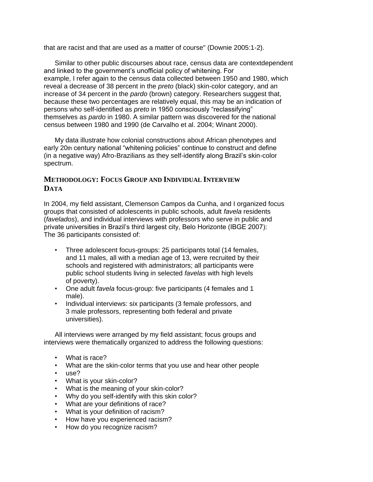that are racist and that are used as a matter of course" (Downie 2005:1-2).

Similar to other public discourses about race, census data are contextdependent and linked to the government's unofficial policy of whitening. For example, I refer again to the census data collected between 1950 and 1980, which reveal a decrease of 38 percent in the *preto* (black) skin-color category, and an increase of 34 percent in the *pardo* (brown) category. Researchers suggest that, because these two percentages are relatively equal, this may be an indication of persons who self-identified as *preto* in 1950 consciously "reclassifying" themselves as *pardo* in 1980. A similar pattern was discovered for the national census between 1980 and 1990 (de Carvalho et al. 2004; Winant 2000).

My data illustrate how colonial constructions about African phenotypes and early 20th century national "whitening policies" continue to construct and define (in a negative way) Afro-Brazilians as they self-identify along Brazil's skin-color spectrum.

# **METHODOLOGY: FOCUS GROUP AND INDIVIDUAL INTERVIEW DATA**

In 2004, my field assistant, Clemenson Campos da Cunha, and I organized focus groups that consisted of adolescents in public schools, adult *favela* residents (*favelados*), and individual interviews with professors who serve in public and private universities in Brazil's third largest city, Belo Horizonte (IBGE 2007): The 36 participants consisted of:

- Three adolescent focus-groups: 25 participants total (14 females, and 11 males, all with a median age of 13, were recruited by their schools and registered with administrators; all participants were public school students living in selected *favelas* with high levels of poverty).
- One adult *favela* focus-group: five participants (4 females and 1 male).
- Individual interviews: six participants (3 female professors, and 3 male professors, representing both federal and private universities).

All interviews were arranged by my field assistant; focus groups and interviews were thematically organized to address the following questions:

- What is race?
- What are the skin-color terms that you use and hear other people
- use?
- What is your skin-color?
- What is the meaning of your skin-color?
- Why do you self-identify with this skin color?
- What are your definitions of race?
- What is your definition of racism?
- How have you experienced racism?
- How do you recognize racism?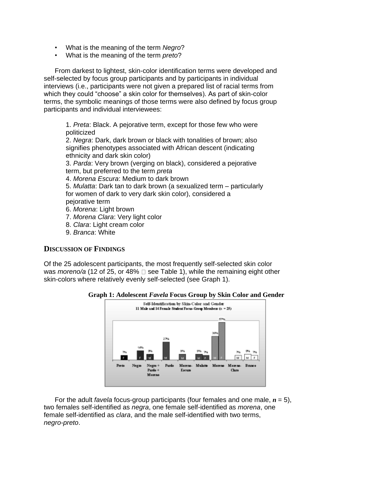- What is the meaning of the term *Negro*?
- What is the meaning of the term *preto*?

From darkest to lightest, skin-color identification terms were developed and self-selected by focus group participants and by participants in individual interviews (i.e., participants were not given a prepared list of racial terms from which they could "choose" a skin color for themselves). As part of skin-color terms, the symbolic meanings of those terms were also defined by focus group participants and individual interviewees:

1. *Preta*: Black. A pejorative term, except for those few who were politicized

2. *Negra*: Dark, dark brown or black with tonalities of brown; also signifies phenotypes associated with African descent (indicating ethnicity and dark skin color)

3. *Parda*: Very brown (verging on black), considered a pejorative term, but preferred to the term *preta*

4. *Morena Escura*: Medium to dark brown

5. *Mulatta*: Dark tan to dark brown (a sexualized term – particularly for women of dark to very dark skin color), considered a pejorative term

- 6. *Morena*: Light brown
- 7. *Morena Clara*: Very light color
- 8. *Clara*: Light cream color
- 9. *Branca*: White

## **DISCUSSION OF FINDINGS**

Of the 25 adolescent participants, the most frequently self-selected skin color was *moreno/a* (12 of 25, or 48%  $\Box$  see Table 1), while the remaining eight other skin-colors where relatively evenly self-selected (see Graph 1).



**Graph 1: Adolescent** *Favela* **Focus Group by Skin Color and Gender**

For the adult *favela* focus-group participants (four females and one male, *n* = 5), two females self-identified as *negra*, one female self-identified as *morena*, one female self-identified as *clara*, and the male self-identified with two terms, *negro-preto*.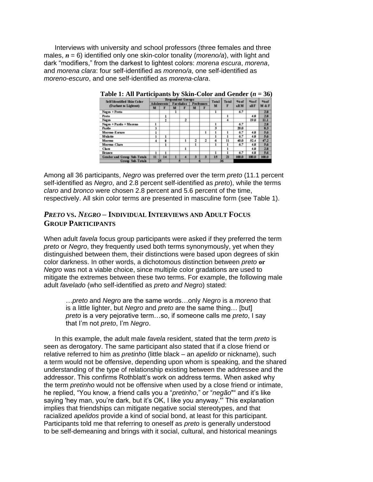Interviews with university and school professors (three females and three males, *n* = 6) identified only one skin-color tonality (*moreno/a*), with light and dark "modifiers," from the darkest to lightest colors: *morena escura*, *morena*, and *morena clara*: four self-identified as *moreno/a*, one self-identified as *moreno-escuro*, and one self-identified as *morena-clara*.

| Self-Identified Skin Color-        | . .<br><b>Respondent Groups</b> |    |           |   |                         |                         | Tatal | <b>Teral</b>    | <b><i><u>Bunf</u></i></b> | <b>Whaf</b> | <b>Waaf</b>             |
|------------------------------------|---------------------------------|----|-----------|---|-------------------------|-------------------------|-------|-----------------|---------------------------|-------------|-------------------------|
| (Darkest to Lightest)              | <b>Adolescents</b>              |    | Favelados |   | Pro fessors             |                         | M     |                 | all M                     | allF        | M & F                   |
|                                    | M                               | F  | M         |   | M                       |                         |       |                 |                           |             |                         |
| Negro + Preto                      |                                 |    |           |   |                         |                         |       |                 | 6.7                       |             | 2.8                     |
| Preto                              |                                 |    |           |   |                         |                         |       |                 |                           | 4.8         | 2B                      |
| Negro                              |                                 | ž  |           | 2 |                         |                         |       | 4               |                           | 19.0        | $\overline{\mathbf{u}}$ |
| Negro + Pardo + Moreno             |                                 |    |           |   |                         |                         |       |                 | 6.7                       |             | 2B                      |
| Parde                              | 3                               |    |           |   |                         |                         | 3     |                 | 20.0                      |             | 8.3                     |
| Moreno-Escuro                      |                                 |    |           |   |                         |                         | ı     |                 | 6.7                       | 4.8         | 546                     |
| <b>Mulatto</b>                     |                                 |    |           |   |                         |                         |       |                 | 6.7                       | 4.8         | 5.6                     |
| Morena                             | 4                               | Ř  |           |   | 2                       | $\overline{2}$          | 6     | $\overline{11}$ | 40.0                      | 52.4        | 47.2                    |
| Moreno-Claro                       |                                 |    |           |   |                         |                         |       |                 | 6.7                       | 4.8         | 50                      |
| Clara                              |                                 |    |           |   |                         |                         |       |                 |                           | 4.8         | 2B                      |
| <b>Вгажее</b>                      |                                 |    |           |   |                         |                         | ı     |                 | 6.7                       | 4.8         | 5.6                     |
| <b>Gender and Group Sub-Totals</b> | $\mathbf{11}$                   | 14 |           |   | $\overline{\mathbf{3}}$ | $\overline{\mathbf{3}}$ | 15    | 21              | 100.0                     | 100.0       | 100.0                   |
| <b>Group Sub-Totals</b>            |                                 | 25 |           |   |                         |                         |       | 36              |                           |             |                         |

**Table 1: All Participants by Skin-Color and Gender**  $(n = 36)$ 

Among all 36 participants, *Negro* was preferred over the term *preto* (11.1 percent self-identified as *Negro*, and 2.8 percent self-identified as *preto*), while the terms *claro* and *bronco* were chosen 2.8 percent and 5.6 percent of the time, respectively. All skin color terms are presented in masculine form (see Table 1).

# *PRETO* **VS.** *NEGRO* **– INDIVIDUAL INTERVIEWS AND ADULT FOCUS GROUP PARTICIPANTS**

When adult *favela* focus group participants were asked if they preferred the term *preto* or *Negro*, they frequently used both terms synonymously, yet when they distinguished between them, their distinctions were based upon degrees of skin color darkness. In other words, a dichotomous distinction between *preto* **or** *Negro* was not a viable choice, since multiple color gradations are used to mitigate the extremes between these two terms. For example, the following male adult *favelado* (who self-identified as *preto and Negro*) stated:

…*preto* and *Negro* are the same words…only *Negro* is a *moreno* that is a little lighter, but *Negro* and *preto* are the same thing… [but] *preto* is a very pejorative term…so, if someone calls me *preto*, I say that I'm not *preto*, I'm *Negro*.

In this example, the adult male *favela* resident, stated that the term *preto* is seen as derogatory. The same participant also stated that if a close friend or relative referred to him as *pretinho* (little black – an *apelido* or nickname), such a term would not be offensive, depending upon whom is speaking, and the shared understanding of the type of relationship existing between the addressee and the addressor. This confirms Rothblatt's work on address terms. When asked why the term *pretinho* would not be offensive when used by a close friend or intimate, he replied, "You know, a friend calls you a "*pretinho*," or "*negão*"" and it's like saying 'hey man, you're dark, but it's OK, I like you anyway.'" This explanation implies that friendships can mitigate negative social stereotypes, and that racialized *apelidos* provide a kind of social bond, at least for this participant. Participants told me that referring to oneself as *preto* is generally understood to be self-demeaning and brings with it social, cultural, and historical meanings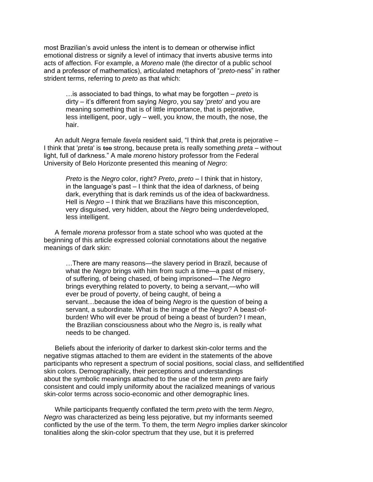most Brazilian's avoid unless the intent is to demean or otherwise inflict emotional distress or signify a level of intimacy that inverts abusive terms into acts of affection. For example, a *Moreno* male (the director of a public school and a professor of mathematics), articulated metaphors of "*preto*-ness" in rather strident terms, referring to *preto* as that which:

…is associated to bad things, to what may be forgotten – *preto* is dirty – it's different from saying *Negro*, you say '*preto*' and you are meaning something that is of little importance, that is pejorative, less intelligent, poor, ugly – well, you know, the mouth, the nose, the hair.

An adult *Negra* female *favela* resident said, "I think that *preta* is pejorative – I think that '*preta*' is **too** strong, because preta is really something *preta* – without light, full of darkness." A male *moreno* history professor from the Federal University of Belo Horizonte presented this meaning of *Negro*:

*Preto* is the *Negro* color, right? *Preto, preto* – I think that in history, in the language's past – I think that the idea of darkness, of being dark, everything that is dark reminds us of the idea of backwardness. Hell is *Negro* – I think that we Brazilians have this misconception, very disguised, very hidden, about the *Negro* being underdeveloped, less intelligent.

A female *morena* professor from a state school who was quoted at the beginning of this article expressed colonial connotations about the negative meanings of dark skin:

…There are many reasons—the slavery period in Brazil, because of what the *Negro* brings with him from such a time—a past of misery, of suffering, of being chased, of being imprisoned—The *Negro* brings everything related to poverty, to being a servant,—who will ever be proud of poverty, of being caught, of being a servant…because the idea of being *Negro* is the question of being a servant, a subordinate. What is the image of the *Negro*? A beast-ofburden! Who will ever be proud of being a beast of burden? I mean, the Brazilian consciousness about who the *Negro* is, is really what needs to be changed.

Beliefs about the inferiority of darker to darkest skin-color terms and the negative stigmas attached to them are evident in the statements of the above participants who represent a spectrum of social positions, social class, and selfidentified skin colors. Demographically, their perceptions and understandings about the symbolic meanings attached to the use of the term *preto* are fairly consistent and could imply uniformity about the racialized meanings of various skin-color terms across socio-economic and other demographic lines.

While participants frequently conflated the term *preto* with the term *Negro*, *Negro* was characterized as being less pejorative, but my informants seemed conflicted by the use of the term. To them, the term *Negro* implies darker skincolor tonalities along the skin-color spectrum that they use, but it is preferred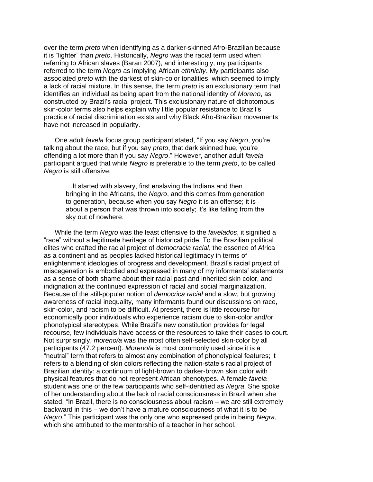over the term *preto* when identifying as a darker-skinned Afro-Brazilian because it is "lighter" than *preto*. Historically, *Negro* was the racial term used when referring to African slaves (Baran 2007), and interestingly, my participants referred to the term *Negro* as implying African *ethnicity*. My participants also associated *preto* with the darkest of skin-color tonalities, which seemed to imply a lack of racial mixture. In this sense, the term *preto* is an exclusionary term that identifies an individual as being apart from the national identity of *Moreno*, as constructed by Brazil's racial project. This exclusionary nature of dichotomous skin-color terms also helps explain why little popular resistance to Brazil's practice of racial discrimination exists and why Black Afro-Brazilian movements have not increased in popularity.

One adult *favela* focus group participant stated, "If you say *Negro*, you're talking about the race, but if you say *preto*, that dark skinned hue, you're offending a lot more than if you say *Negro*." However, another adult *favela* participant argued that while *Negro* is preferable to the term *preto*, to be called *Negro* is still offensive:

…It started with slavery, first enslaving the Indians and then bringing in the Africans, the *Negro*, and this comes from generation to generation, because when you say *Negro* it is an offense; it is about a person that was thrown into society; it's like falling from the sky out of nowhere.

While the term *Negro* was the least offensive to the *favelados*, it signified a "race" without a legitimate heritage of historical pride. To the Brazilian political elites who crafted the racial project of *democracia racial*, the essence of Africa as a continent and as peoples lacked historical legitimacy in terms of enlightenment ideologies of progress and development. Brazil's racial project of miscegenation is embodied and expressed in many of my informants' statements as a sense of both shame about their racial past and inherited skin color, and indignation at the continued expression of racial and social marginalization. Because of the still-popular notion of *democrica racial* and a slow, but growing awareness of racial inequality, many informants found our discussions on race, skin-color, and racism to be difficult. At present, there is little recourse for economically poor individuals who experience racism due to skin-color and/or phonotypical stereotypes. While Brazil's new constitution provides for legal recourse, few individuals have access or the resources to take their cases to court. Not surprisingly, *moreno/a* was the most often self-selected skin-color by all participants (47.2 percent). *Moreno/a* is most commonly used since it is a "neutral" term that refers to almost any combination of phonotypical features; it refers to a blending of skin colors reflecting the nation-state's racial project of Brazilian identity: a continuum of light-brown to darker-brown skin color with physical features that do not represent African phenotypes. A female *favela* student was one of the few participants who self-identified as *Negra*. She spoke of her understanding about the lack of racial consciousness in Brazil when she stated, "In Brazil, there is no consciousness about racism – we are still extremely backward in this – we don't have a mature consciousness of what it is to be *Negro*." This participant was the only one who expressed pride in being *Negra*, which she attributed to the mentorship of a teacher in her school.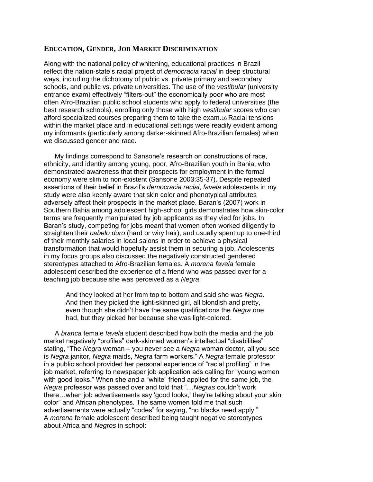#### **EDUCATION, GENDER, JOB MARKET DISCRIMINATION**

Along with the national policy of whitening, educational practices in Brazil reflect the nation-state's racial project of *democracia racial* in deep structural ways, including the dichotomy of public vs. private primary and secondary schools, and public vs. private universities. The use of the *vestibular* (university entrance exam) effectively "filters-out" the economically poor who are most often Afro-Brazilian public school students who apply to federal universities (the best research schools), enrolling only those with high *vestibular* scores who can afford specialized courses preparing them to take the exam.16 Racial tensions within the market place and in educational settings were readily evident among my informants (particularly among darker-skinned Afro-Brazilian females) when we discussed gender and race.

My findings correspond to Sansone's research on constructions of race, ethnicity, and identity among young, poor, Afro-Brazilian youth in Bahia, who demonstrated awareness that their prospects for employment in the formal economy were slim to non-existent (Sansone 2003:35-37). Despite repeated assertions of their belief in Brazil's *democracia racial*, *favela* adolescents in my study were also keenly aware that skin color and phenotypical attributes adversely affect their prospects in the market place. Baran's (2007) work in Southern Bahia among adolescent high-school girls demonstrates how skin-color terms are frequently manipulated by job applicants as they vied for jobs. In Baran's study, competing for jobs meant that women often worked diligently to straighten their *cabelo duro* (hard or wiry hair), and usually spent up to one-third of their monthly salaries in local salons in order to achieve a physical transformation that would hopefully assist them in securing a job. Adolescents in my focus groups also discussed the negatively constructed gendered stereotypes attached to Afro-Brazilian females. A *morena favela* female adolescent described the experience of a friend who was passed over for a teaching job because she was perceived as a *Negra*:

And they looked at her from top to bottom and said she was *Negra*. And then they picked the light-skinned girl, all blondish and pretty, even though she didn't have the same qualifications the *Negra* one had, but they picked her because she was light-colored.

A *branca* female *favela* student described how both the media and the job market negatively "profiles" dark-skinned women's intellectual "disabilities" stating, "The *Negra* woman – you never see a *Negra* woman doctor, all you see is *Negra* janitor, *Negra* maids, *Negra* farm workers." A *Negra* female professor in a public school provided her personal experience of "racial profiling" in the job market, referring to newspaper job application ads calling for "young women with good looks." When she and a "white" friend applied for the same job, the *Negra* professor was passed over and told that "…*Negras* couldn't work there…when job advertisements say 'good looks,' they're talking about your skin color" and African phenotypes. The same women told me that such advertisements were actually "codes" for saying, "no blacks need apply." A *morena* female adolescent described being taught negative stereotypes about Africa and *Negros* in school: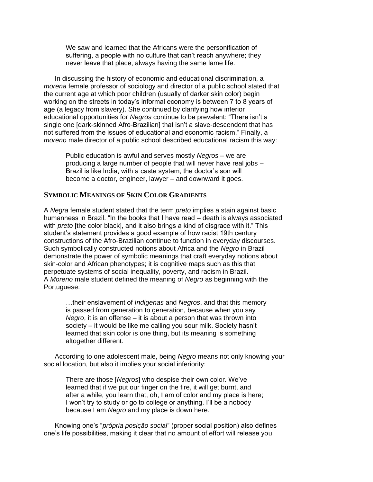We saw and learned that the Africans were the personification of suffering, a people with no culture that can't reach anywhere; they never leave that place, always having the same lame life.

In discussing the history of economic and educational discrimination, a *morena* female professor of sociology and director of a public school stated that the current age at which poor children (usually of darker skin color) begin working on the streets in today's informal economy is between 7 to 8 years of age (a legacy from slavery). She continued by clarifying how inferior educational opportunities for *Negros* continue to be prevalent: "There isn't a single one [dark-skinned Afro-Brazilian] that isn't a slave-descendent that has not suffered from the issues of educational and economic racism." Finally, a *moreno* male director of a public school described educational racism this way:

Public education is awful and serves mostly *Negros* – we are producing a large number of people that will never have real jobs – Brazil is like India, with a caste system, the doctor's son will become a doctor, engineer, lawyer – and downward it goes.

#### **SYMBOLIC MEANINGS OF SKIN COLOR GRADIENTS**

A *Negra* female student stated that the term *preto* implies a stain against basic humanness in Brazil. "In the books that I have read – death is always associated with *preto* [the color black], and it also brings a kind of disgrace with it." This student's statement provides a good example of how racist 19th century constructions of the Afro-Brazilian continue to function in everyday discourses. Such symbolically constructed notions about Africa and the *Negro* in Brazil demonstrate the power of symbolic meanings that craft everyday notions about skin-color and African phenotypes; it is cognitive maps such as this that perpetuate systems of social inequality, poverty, and racism in Brazil. A *Moreno* male student defined the meaning of *Negro* as beginning with the Portuguese:

…their enslavement of *Indigenas* and *Negros*, and that this memory is passed from generation to generation, because when you say *Negro*, it is an offense – it is about a person that was thrown into society – it would be like me calling you sour milk. Society hasn't learned that skin color is one thing, but its meaning is something altogether different.

According to one adolescent male, being *Negro* means not only knowing your social location, but also it implies your social inferiority:

There are those [*Negros*] who despise their own color. We've learned that if we put our finger on the fire, it will get burnt, and after a while, you learn that, oh, I am of color and my place is here; I won't try to study or go to college or anything. I'll be a nobody because I am *Negro* and my place is down here.

Knowing one's "*própria posição social*" (proper social position) also defines one's life possibilities, making it clear that no amount of effort will release you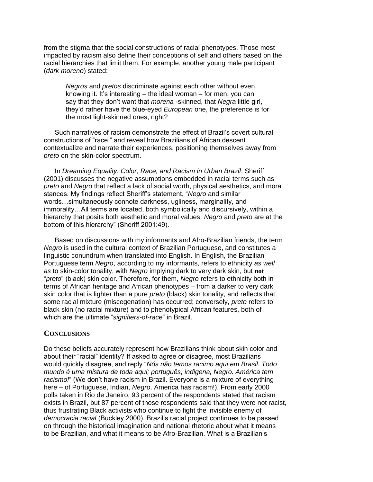from the stigma that the social constructions of racial phenotypes. Those most impacted by racism also define their conceptions of self and others based on the racial hierarchies that limit them. For example, another young male participant (*dark moreno*) stated:

*Negros* and *pretos* discriminate against each other without even knowing it. It's interesting – the ideal woman – for men, you can say that they don't want that *morena* -skinned, that *Negra* little girl, they'd rather have the blue-eyed *European* one, the preference is for the most light-skinned ones, right?

Such narratives of racism demonstrate the effect of Brazil's covert cultural constructions of "race," and reveal how Brazilians of African descent contextualize and narrate their experiences, positioning themselves away from *preto* on the skin-color spectrum.

In *Dreaming Equality: Color, Race, and Racism in Urban Brazil*, Sheriff (2001) discusses the negative assumptions embedded in racial terms such as *preto* and *Negro* that reflect a lack of social worth, physical aesthetics, and moral stances. My findings reflect Sheriff's statement, "*Negro* and similar words…simultaneously connote darkness, ugliness, marginality, and immorality…All terms are located, both symbolically and discursively, within a hierarchy that posits both aesthetic and moral values. *Negro* and *preto* are at the bottom of this hierarchy" (Sheriff 2001:49).

Based on discussions with my informants and Afro-Brazilian friends, the term *Negro* is used in the cultural context of Brazilian Portuguese, and constitutes a linguistic conundrum when translated into English. In English, the Brazilian Portuguese term *Negro*, according to my informants, refers to ethnicity *as well as* to skin-color tonality, with *Negro* implying dark to very dark skin, but **not** "*preto*" (black) skin color. Therefore, for them, *Negro* refers to ethnicity both in terms of African heritage and African phenotypes – from a darker to very dark skin color that is lighter than a pure *preto* (black) skin tonality, and reflects that some racial mixture (miscegenation) has occurred; conversely, *preto* refers to black skin (no racial mixture) and to phenotypical African features, both of which are the ultimate "*signifiers-of-race*" in Brazil.

#### **CONCLUSIONS**

Do these beliefs accurately represent how Brazilians think about skin color and about their "racial" identity? If asked to agree or disagree, most Brazilians would quickly disagree, and reply "*Nós não temos racimo aqui em Brasil. Todo mundo é uma mistura de toda aqui; português, indigena, Negro. América tem racismo!*" (We don't have racism in Brazil. Everyone is a mixture of everything here – of Portuguese, Indian, *Negro*. America has racism!). From early 2000 polls taken in Rio de Janeiro, 93 percent of the respondents stated that racism exists in Brazil, but 87 percent of those respondents said that they were not racist, thus frustrating Black activists who continue to fight the invisible enemy of *democracia racial* (Buckley 2000). Brazil's racial project continues to be passed on through the historical imagination and national rhetoric about what it means to be Brazilian, and what it means to be Afro-Brazilian. What is a Brazilian's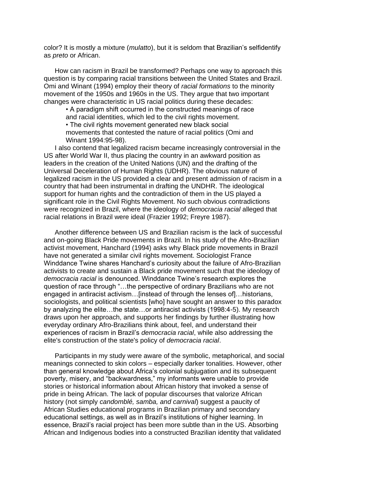color? It is mostly a mixture (*mulatto*), but it is seldom that Brazilian's selfidentify as *preto* or African.

How can racism in Brazil be transformed? Perhaps one way to approach this question is by comparing racial transitions between the United States and Brazil. Omi and Winant (1994) employ their theory of *racial formations* to the minority movement of the 1950s and 1960s in the US. They argue that two important changes were characteristic in US racial politics during these decades:

• A paradigm shift occurred in the constructed meanings of race

and racial identities, which led to the civil rights movement.

• The civil rights movement generated new black social movements that contested the nature of racial politics (Omi and Winant 1994:95-98).

I also contend that legalized racism became increasingly controversial in the US after World War II, thus placing the country in an awkward position as leaders in the creation of the United Nations (UN) and the drafting of the Universal Deceleration of Human Rights (UDHR). The obvious nature of legalized racism in the US provided a clear and present admission of racism in a country that had been instrumental in drafting the UNDHR. The ideological support for human rights and the contradiction of them in the US played a significant role in the Civil Rights Movement. No such obvious contradictions were recognized in Brazil, where the ideology of *democracia racial* alleged that racial relations in Brazil were ideal (Frazier 1992; Freyre 1987).

Another difference between US and Brazilian racism is the lack of successful and on-going Black Pride movements in Brazil. In his study of the Afro-Brazilian activist movement, Hanchard (1994) asks why Black pride movements in Brazil have not generated a similar civil rights movement. Sociologist France Winddance Twine shares Hanchard's curiosity about the failure of Afro-Brazilian activists to create and sustain a Black pride movement such that the ideology of *democracia racial* is denounced. Winddance Twine's research explores the question of race through "…the perspective of ordinary Brazilians who are not engaged in antiracist activism…[instead of through the lenses of]…historians, sociologists, and political scientists [who] have sought an answer to this paradox by analyzing the elite…the state…or antiracist activists (1998:4-5). My research draws upon her approach, and supports her findings by further illustrating how everyday ordinary Afro-Brazilians think about, feel, and understand their experiences of racism in Brazil's *democracia racial*, while also addressing the elite's construction of the state's policy of *democracia racial*.

Participants in my study were aware of the symbolic, metaphorical, and social meanings connected to skin colors – especially darker tonalities. However, other than general knowledge about Africa's colonial subjugation and its subsequent poverty, misery, and "backwardness," my informants were unable to provide stories or historical information about African history that invoked a sense of pride in being African. The lack of popular discourses that valorize African history (not simply *candomblé, samba, and carnival*) suggest a paucity of African Studies educational programs in Brazilian primary and secondary educational settings, as well as in Brazil's institutions of higher learning. In essence, Brazil's racial project has been more subtle than in the US. Absorbing African and Indigenous bodies into a constructed Brazilian identity that validated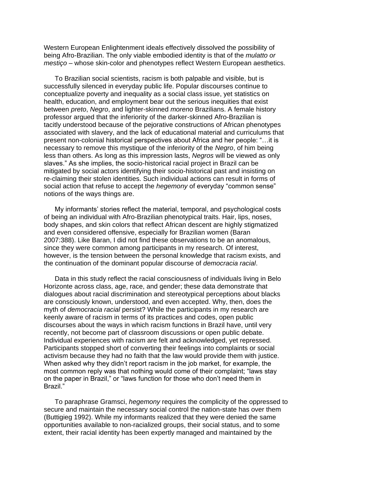Western European Enlightenment ideals effectively dissolved the possibility of being Afro-Brazilian. The only viable embodied identity is that of the *mulatto or mestiço* – whose skin-color and phenotypes reflect Western European aesthetics.

To Brazilian social scientists, racism is both palpable and visible, but is successfully silenced in everyday public life. Popular discourses continue to conceptualize poverty and inequality as a social class issue, yet statistics on health, education, and employment bear out the serious inequities that exist between *preto*, *Negro*, and lighter-skinned *moreno* Brazilians. A female history professor argued that the inferiority of the darker-skinned Afro-Brazilian is tacitly understood because of the pejorative constructions of African phenotypes associated with slavery, and the lack of educational material and curriculums that present non-colonial historical perspectives about Africa and her people: "…it is necessary to remove this mystique of the inferiority of the *Negro*, of him being less than others. As long as this impression lasts, *Negros* will be viewed as only slaves." As she implies, the socio-historical racial project in Brazil can be mitigated by social actors identifying their socio-historical past and insisting on re-claiming their stolen identities. Such individual actions can result in forms of social action that refuse to accept the *hegemony* of everyday "common sense" notions of the ways things are.

My informants' stories reflect the material, temporal, and psychological costs of being an individual with Afro-Brazilian phenotypical traits. Hair, lips, noses, body shapes, and skin colors that reflect African descent are highly stigmatized and even considered offensive, especially for Brazilian women (Baran 2007:388). Like Baran, I did not find these observations to be an anomalous, since they were common among participants in my research. Of interest, however, is the tension between the personal knowledge that racism exists, and the continuation of the dominant popular discourse of *democracia racial*.

Data in this study reflect the racial consciousness of individuals living in Belo Horizonte across class, age, race, and gender; these data demonstrate that dialogues about racial discrimination and stereotypical perceptions about blacks are consciously known, understood, and even accepted. Why, then, does the myth of *democracia racial* persist? While the participants in my research are keenly aware of racism in terms of its practices and codes, open public discourses about the ways in which racism functions in Brazil have, until very recently, not become part of classroom discussions or open public debate. Individual experiences with racism are felt and acknowledged, yet repressed. Participants stopped short of converting their feelings into complaints or social activism because they had no faith that the law would provide them with justice. When asked why they didn't report racism in the job market, for example, the most common reply was that nothing would come of their complaint; "laws stay on the paper in Brazil," or "laws function for those who don't need them in Brazil."

To paraphrase Gramsci, *hegemony* requires the complicity of the oppressed to secure and maintain the necessary social control the nation-state has over them (Buttigieg 1992). While my informants realized that they were denied the same opportunities available to non-racialized groups, their social status, and to some extent, their racial identity has been expertly managed and maintained by the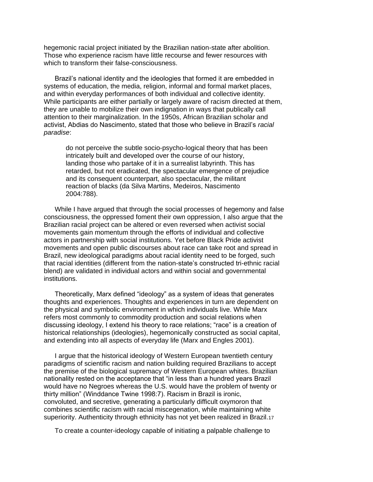hegemonic racial project initiated by the Brazilian nation-state after abolition. Those who experience racism have little recourse and fewer resources with which to transform their false-consciousness.

Brazil's national identity and the ideologies that formed it are embedded in systems of education, the media, religion, informal and formal market places, and within everyday performances of both individual and collective identity. While participants are either partially or largely aware of racism directed at them, they are unable to mobilize their own indignation in ways that publically call attention to their marginalization. In the 1950s, African Brazilian scholar and activist, Abdias do Nascimento, stated that those who believe in Brazil's *racial paradise*:

do not perceive the subtle socio-psycho-logical theory that has been intricately built and developed over the course of our history, landing those who partake of it in a surrealist labyrinth. This has retarded, but not eradicated, the spectacular emergence of prejudice and its consequent counterpart, also spectacular, the militant reaction of blacks (da Silva Martins, Medeiros, Nascimento 2004:788).

While I have argued that through the social processes of hegemony and false consciousness, the oppressed foment their own oppression, I also argue that the Brazilian racial project can be altered or even reversed when activist social movements gain momentum through the efforts of individual and collective actors in partnership with social institutions. Yet before Black Pride activist movements and open public discourses about race can take root and spread in Brazil, new ideological paradigms about racial identity need to be forged, such that racial identities (different from the nation-state's constructed tri-ethnic racial blend) are validated in individual actors and within social and governmental institutions.

Theoretically, Marx defined "ideology" as a system of ideas that generates thoughts and experiences. Thoughts and experiences in turn are dependent on the physical and symbolic environment in which individuals live. While Marx refers most commonly to commodity production and social relations when discussing ideology, I extend his theory to race relations; "race" is a creation of historical relationships (ideologies), hegemonically constructed as social capital, and extending into all aspects of everyday life (Marx and Engles 2001).

I argue that the historical ideology of Western European twentieth century paradigms of scientific racism and nation building required Brazilians to accept the premise of the biological supremacy of Western European whites. Brazilian nationality rested on the acceptance that "in less than a hundred years Brazil would have no Negroes whereas the U.S. would have the problem of twenty or thirty million" (Winddance Twine 1998:7). Racism in Brazil is ironic, convoluted, and secretive, generating a particularly difficult oxymoron that combines scientific racism with racial miscegenation, while maintaining white superiority. Authenticity through ethnicity has not yet been realized in Brazil.17

To create a counter-ideology capable of initiating a palpable challenge to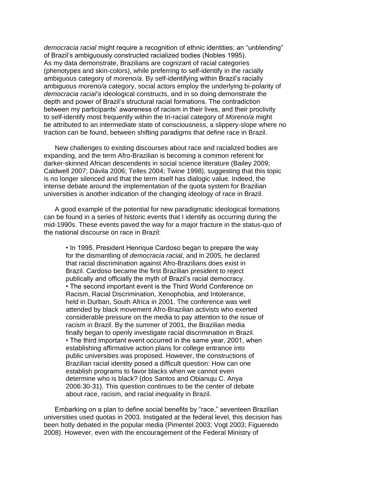*democracia racial* might require a recognition of ethnic identities; an "unblending" of Brazil's ambiguously constructed racialized bodies (Nobles 1995). As my data demonstrate, Brazilians are cognizant of racial categories (phenotypes and skin-colors), while preferring to self-identify in the racially ambiguous category of *moreno/a*. By self-identifying within Brazil's racially ambiguous *moreno/a* category, social actors employ the underlying bi-polarity of *democracia racial's* ideological constructs, and in so doing demonstrate the depth and power of Brazil's structural racial formations. The contradiction between my participants' awareness of racism in their lives, and their proclivity to self-identify most frequently within the tri-racial category of *Moreno/a* might be attributed to an intermediate state of consciousness, a slippery-slope where no traction can be found, between shifting paradigms that define race in Brazil.

New challenges to existing discourses about race and racialized bodies are expanding, and the term Afro-Brazilian is becoming a common referent for darker-skinned African descendents in social science literature (Bailey 2009; Caldwell 2007; Dávila 2006; Telles 2004; Twine 1998), suggesting that this topic is no longer silenced and that the term itself has dialogic value. Indeed, the intense debate around the implementation of the quota system for Brazilian universities is another indication of the changing ideology of race in Brazil.

A good example of the potential for new paradigmatic ideological formations can be found in a series of historic events that I identify as occurring during the mid-1990s. These events paved the way for a major fracture in the status-quo of the national discourse on race in Brazil:

• In 1995, President Henrique Cardoso began to prepare the way for the dismantling of *democracia racial*, and in 2005, he declared that racial discrimination against Afro-Brazilians does exist in Brazil. Cardoso became the first Brazilian president to reject publically and officially the myth of Brazil's racial democracy. • The second important event is the Third World Conference on Racism, Racial Discrimination, Xenophobia, and Intolerance, held in Durban, South Africa in 2001. The conference was well attended by black movement Afro-Brazilian activists who exerted considerable pressure on the media to pay attention to the issue of racism in Brazil. By the summer of 2001, the Brazilian media finally began to openly investigate racial discrimination in Brazil. • The third important event occurred in the same year, 2001, when establishing affirmative action plans for college entrance into public universities was proposed. However, the constructions of Brazilian racial identity posed a difficult question: How can one establish programs to favor blacks when we cannot even determine who is black? (dos Santos and Obianuju C. Anya 2006:30-31). This question continues to be the center of debate about race, racism, and racial inequality in Brazil.

Embarking on a plan to define social benefits by "race," seventeen Brazilian universities used quotas in 2003. Instigated at the federal level, this decision has been hotly debated in the popular media (Pimentel 2003; Vogt 2003; Figueredo 2008). However, even with the encouragement of the Federal Ministry of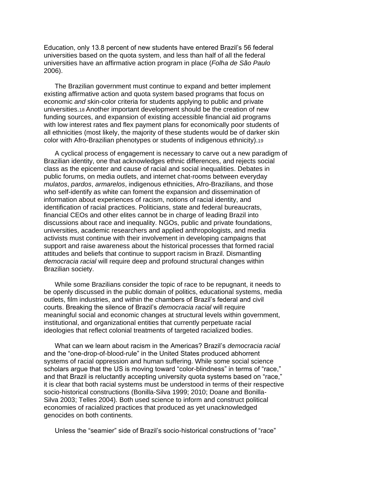Education, only 13.8 percent of new students have entered Brazil's 56 federal universities based on the quota system, and less than half of all the federal universities have an affirmative action program in place (*Folha de São Paulo* 2006).

The Brazilian government must continue to expand and better implement existing affirmative action and quota system based programs that focus on economic *and* skin-color criteria for students applying to public and private universities.18 Another important development should be the creation of new funding sources, and expansion of existing accessible financial aid programs with low interest rates and flex payment plans for economically poor students of all ethnicities (most likely, the majority of these students would be of darker skin color with Afro-Brazilian phenotypes or students of indigenous ethnicity).19

A cyclical process of engagement is necessary to carve out a new paradigm of Brazilian identity, one that acknowledges ethnic differences, and rejects social class as the epicenter and cause of racial and social inequalities. Debates in public forums, on media outlets, and internet chat-rooms between everyday *mulatos*, *pardos*, *armarelos*, indigenous ethnicities, Afro-Brazilians, and those who self-identify as white can foment the expansion and dissemination of information about experiences of racism, notions of racial identity, and identification of racial practices. Politicians, state and federal bureaucrats, financial CEOs and other elites cannot be in charge of leading Brazil into discussions about race and inequality. NGOs, public and private foundations, universities, academic researchers and applied anthropologists, and media activists must continue with their involvement in developing campaigns that support and raise awareness about the historical processes that formed racial attitudes and beliefs that continue to support racism in Brazil. Dismantling *democracia racial* will require deep and profound structural changes within Brazilian society.

While some Brazilians consider the topic of race to be repugnant, it needs to be openly discussed in the public domain of politics, educational systems, media outlets, film industries, and within the chambers of Brazil's federal and civil courts. Breaking the silence of Brazil's *democracia racial* will require meaningful social and economic changes at structural levels within government, institutional, and organizational entities that currently perpetuate racial ideologies that reflect colonial treatments of targeted racialized bodies.

What can we learn about racism in the Americas? Brazil's *democracia racial* and the "one-drop-of-blood-rule" in the United States produced abhorrent systems of racial oppression and human suffering. While some social science scholars argue that the US is moving toward "color-blindness" in terms of "race," and that Brazil is reluctantly accepting university quota systems based on "race," it is clear that both racial systems must be understood in terms of their respective socio-historical constructions (Bonilla-Silva 1999; 2010; Doane and Bonilla-Silva 2003; Telles 2004). Both used science to inform and construct political economies of racialized practices that produced as yet unacknowledged genocides on both continents.

Unless the "seamier" side of Brazil's socio-historical constructions of "race"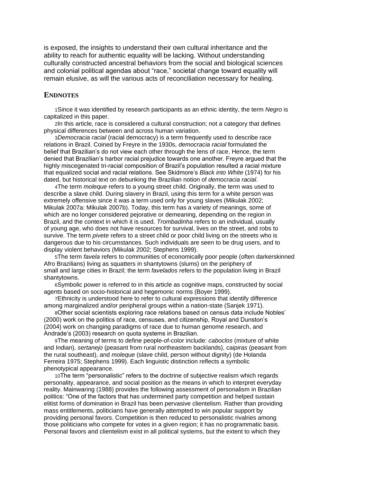is exposed, the insights to understand their own cultural inheritance and the ability to reach for authentic equality will be lacking. Without understanding culturally constructed ancestral behaviors from the social and biological sciences and colonial political agendas about "race," societal change toward equality will remain elusive, as will the various acts of reconciliation necessary for healing.

#### **ENDNOTES**

1Since it was identified by research participants as an ethnic identity, the term *Negro* is capitalized in this paper.

2In this article, race is considered a cultural construction; not a category that defines physical differences between and across human variation.

3*Democracia racial* (racial democracy) is a term frequently used to describe race relations in Brazil. Coined by Freyre in the 1930s, *democracia racial* formulated the belief that Brazilian's do not view each other through the lens of race. Hence, the term denied that Brazilian's harbor racial prejudice towards one another. Freyre argued that the highly miscegenated tri-racial composition of Brazil's population resulted a racial mixture that equalized social and racial relations. See Skidmore's *Black into White* (1974) for his dated, but historical text on debunking the Brazilian notion of *democracia racial*.

4The term *moleque* refers to a young street child. Originally, the term was used to describe a slave child. During slavery in Brazil, using this term for a white person was extremely offensive since it was a term used only for young slaves (Mikulak 2002; Mikulak 2007a: Mikulak 2007b). Today, this term has a variety of meanings, some of which are no longer considered pejorative or demeaning, depending on the region in Brazil, and the context in which it is used. *Trombadinha* refers to an individual, usually of young age, who does not have resources for survival, lives on the street, and robs to survive. The term *pivete* refers to a street child or poor child living on the streets who is dangerous due to his circumstances. Such individuals are seen to be drug users, and to display violent behaviors (Mikulak 2002; Stephens 1999).

5The term *favela* refers to communities of economically poor people (often darkerskinned Afro Brazilians) living as squatters in shantytowns (slums) on the periphery of small and large cities in Brazil; the term *favelados* refers to the population living in Brazil shantytowns.

6Symbolic power is referred to in this article as cognitive maps, constructed by social agents based on socio-historical and hegemonic norms (Boyer 1999).

7Ethnicity is understood here to refer to cultural expressions that identify difference among marginalized and/or peripheral groups within a nation-state (Sanjek 1971).

8Other social scientists exploring race relations based on census data include Nobles' (2000) work on the politics of race, censuses, and citizenship, Royal and Dunston's (2004) work on changing paradigms of race due to human genome research, and Andrade's (2003) research on quota systems in Brazilian.

9The meaning of terms to define people-of-color include: *caboclos* (mixture of white and Indian), *sertanejo* (peasant from rural northeastern backlands), *caipiras* (peasant from the rural southeast), and *moleque* (slave child, person without dignity) (de Holanda Ferreira 1975; Stephens 1999). Each linguistic distinction reflects a symbolic phenotypical appearance.

10The term "personalistic" refers to the doctrine of subjective realism which regards personality, appearance, and social position as the means in which to interpret everyday reality. Mainwaring (1988) provides the following assessment of personalism in Brazilian politics: "One of the factors that has undermined party competition and helped sustain elitist forms of domination in Brazil has been pervasive clientelism. Rather than providing mass entitlements, politicians have generally attempted to win popular support by providing personal favors. Competition is then reduced to personalistic rivalries among those politicians who compete for votes in a given region; it has no programmatic basis. Personal favors and clientelism exist in all political systems, but the extent to which they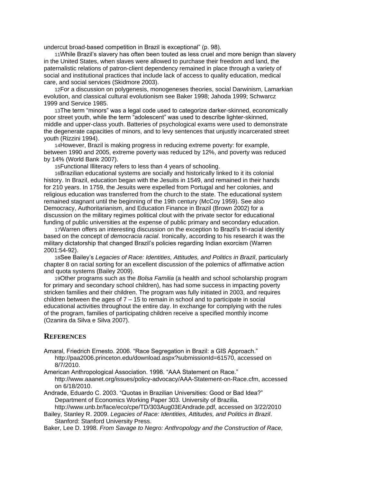undercut broad-based competition in Brazil is exceptional" (p. 98).

11While Brazil's slavery has often been touted as less cruel and more benign than slavery in the United States, when slaves were allowed to purchase their freedom and land, the paternalistic relations of patron-client dependency remained in place through a variety of social and institutional practices that include lack of access to quality education, medical care, and social services (Skidmore 2003).

12For a discussion on polygenesis, monogeneses theories, social Darwinism, Lamarkian evolution, and classical cultural evolutionism see Baker 1998; Jahoda 1999; Schwarcz 1999 and Service 1985.

13The term "minors" was a legal code used to categorize darker-skinned, economically poor street youth, while the term "adolescent" was used to describe lighter-skinned, middle and upper-class youth. Batteries of psychological exams were used to demonstrate the degenerate capacities of minors, and to levy sentences that unjustly incarcerated street youth (Rizzini 1994).

14However, Brazil is making progress in reducing extreme poverty: for example, between 1990 and 2005, extreme poverty was reduced by 12%, and poverty was reduced by 14% (World Bank 2007).

15Functional Illiteracy refers to less than 4 years of schooling.

16Brazilian educational systems are socially and historically linked to it its colonial history. In Brazil, education began with the Jesuits in 1549, and remained in their hands for 210 years. In 1759, the Jesuits were expelled from Portugal and her colonies, and religious education was transferred from the church to the state. The educational system remained stagnant until the beginning of the 19th century (McCoy 1959). See also Democracy, Authoritarianism, and Education Finance in Brazil (Brown 2002) for a discussion on the military regimes political clout with the private sector for educational funding of public universities at the expense of public primary and secondary education.

17Warren offers an interesting discussion on the exception to Brazil's tri-racial identity based on the concept of *democracia racial*. Ironically, according to his research it was the military dictatorship that changed Brazil's policies regarding Indian exorcism (Warren 2001:54-92).

18See Bailey's *Legacies of Race: Identities, Attitudes, and Politics in Brazil*, particularly chapter 8 on racial sorting for an excellent discussion of the polemics of affirmative action and quota systems (Bailey 2009).

19Other programs such as the *Bolsa Familia* (a health and school scholarship program for primary and secondary school children), has had some success in impacting poverty stricken families and their children. The program was fully initiated in 2003, and requires children between the ages of  $7 - 15$  to remain in school and to participate in social educational activities throughout the entire day. In exchange for complying with the rules of the program, families of participating children receive a specified monthly income (Ozanira da Silva e Silva 2007).

#### **REFERENCES**

- Amaral, Friedrich Ernesto. 2006. "Race Segregation in Brazil: a GIS Approach." http://paa2006.princeton.edu/download.aspx?submissionId=61570, accessed on 8/7/2010.
- American Anthropological Association. 1998. "AAA Statement on Race." http://www.aaanet.org/issues/policy-advocacy/AAA-Statement-on-Race.cfm, accessed on 6/18/2010.

Andrade, Eduardo C. 2003. "Quotas in Brazilian Universities: Good or Bad Idea?" Department of Economics Working Paper 303. University of Brazilia. http://www.unb.br/face/eco/cpe/TD/303Aug03EAndrade.pdf, accessed on 3/22/2010

Bailey, Stanley R. 2009. *Legacies of Race: Identities, Attitudes, and Politics in Brazil*. Stanford: Stanford University Press.

Baker, Lee D. 1998. *From Savage to Negro: Anthropology and the Construction of Race,*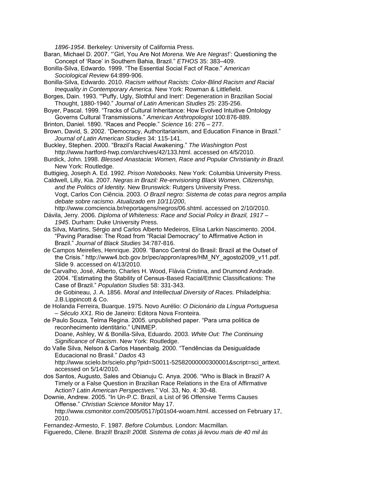*1896-1954*. Berkeley: University of California Press.

Baran, Michael D. 2007. "'Girl, You Are Not *Morena*. We Are *Negras*!': Questioning the Concept of 'Race' in Southern Bahia, Brazil." *ETHOS* 35: 383–409.

Bonilla-Silva, Edwardo. 1999. "The Essential Social Fact of Race." *American Sociological Review* 64:899-906.

Bonilla-Silva, Edwardo. 2010. *Racism without Racists: Color-Blind Racism and Racial Inequality in Contemporary America*. New York: Rowman & Littlefield.

Borges, Dain. 1993. "'Puffy, Ugly, Slothful and Inert': Degeneration in Brazilian Social Thought, 1880-1940." *Journal of Latin American Studies* 25: 235-256.

Boyer, Pascal. 1999. "Tracks of Cultural Inheritance: How Evolved Intuitive Ontology Governs Cultural Transmissions." *American Anthropologist* 100:876-889.

Brinton, Daniel. 1890. "Races and People." *Science* 16: 276 – 277.

Brown, David, S. 2002. "Democracy, Authoritarianism, and Education Finance in Brazil." *Journal of Latin American Studies* 34: 115-141.

Buckley, Stephen. 2000. "Brazil's Racial Awakening." *The Washington Pos*t http://www.hartford-hwp.com/archives/42/133.html. accessed on 4/5/2010.

Burdick, John. 1998. *Blessed Anastacia: Women, Race and Popular Christianity in Brazil.* New York: Routledge.

Buttigieg, Joseph A. Ed. 1992. *Prison Notebooks*. New York: Columbia University Press.

Caldwell, Lilly, Kia. 2007. *Negras in Brazil: Re-envisioning Black Women, Citizenship, and the Politics of Identity.* New Brunswick: Rutgers University Press. Vogt, Carlos Con Ciência. 2003. *O Brazil negro: Sistema de cotas para negros amplia debate sobre racismo. Atualizado em 10/11/200*,

http://www.comciencia.br/reportagens/negros/06.shtml. accessed on 2/10/2010. Dávila, Jerry. 2006. *Diploma of Whiteness: Race and Social Policy in Brazil, 1917 –*

*1945*. Durham: Duke University Press.

da Silva, Martins, Sérgio and Carlos Alberto Medeiros, Elisa Larkin Nascimento. 2004. "Paving Paradise: The Road from "Racial Democracy" to Affirmative Action in Brazil." *Journal of Black Studies* 34:787-816.

de Campos Meirelles, Henrique. 2009. "Banco Central do Brasil: Brazil at the Outset of the Crisis." http://www4.bcb.gov.br/pec/appron/apres/HM\_NY\_agosto2009\_v11.pdf. Slide 9. accessed on 4/13/2010.

de Carvalho, José, Alberto, Charles H. Wood, Flávia Cristina, and Drumond Andrade. 2004. "Estimating the Stability of Census-Based Racial/Ethnic Classifications: The Case of Brazil." *Population Studies* 58: 331-343.

de Gobineau, J. A. 1856. *Moral and Intellectual Diversity of Races.* Philadelphia: J.B.Lippincott & Co.

de Holanda Ferreira, Buarque. 1975. Novo Aurélio: *O Dicionário da Língua Portuguesa – Século XX1.* Rio de Janeiro: Editora Nova Fronteira.

de Paulo Souza, Telma Regina. 2005. unpublished paper. "Para uma politica de reconhecimento identitário." UNIMEP.

Doane, Ashley, W & Bonilla-Silva, Eduardo. 2003. *White Out: The Continuing Significance of Racism*. New York: Routledge.

do Valle Silva, Nelson & Carlos Hasenbalg. 2000. "Tendências da Desigualdade Educacional no Brasil." *Dados* 43 http://www.scielo.br/scielo.php?pid=S0011-52582000000300001&script=sci\_arttext. accessed on 5/14/2010.

dos Santos, Augusto, Sales and Obianuju C. Anya. 2006. "Who is Black in Brazil? A Timely or a False Question in Brazilian Race Relations in the Era of Affirmative Action? *Latin American Perspectives.*" Vol. 33, No. 4: 30-48.

Downie, Andrew. 2005. "In Un-P.C. Brazil, a List of 96 Offensive Terms Causes Offense." *Christian Science Monitor* May 17.

http://www.csmonitor.com/2005/0517/p01s04-woam.html. accessed on February 17, 2010.

Fernandez-Armesto, F. 1987. *Before Columbus.* London: Macmillan.

Figueredo, Cilene. Brazil! Brazil! *2008. Sistema de cotas já levou mais de 40 mil às*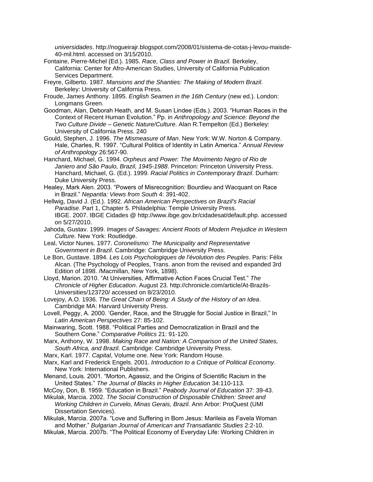*universidades*. http://nogueirajr.blogspot.com/2008/01/sistema-de-cotas-j-levou-maisde-40-mil.html. accessed on 3/15/2010.

- Fontaine, Pierre-Michel (Ed.). 1985. *Race, Class and Power in Brazil.* Berkeley, California: Center for Afro-American Studies, University of California Publication Services Department.
- Freyre, Gilberto. 1987. *Mansions and the Shanties: The Making of Modern Brazil*. Berkeley: University of California Press.
- Froude, James Anthony. 1895. *English Seamen in the 16th Century* (new ed.). London: Longmans Green.
- Goodman, Alan, Deborah Heath, and M. Susan Lindee (Eds.). 2003. "Human Races in the Context of Recent Human Evolution." Pp. in *Anthropology and Science: Beyond the Two Culture Divide – Genetic Nature/Culture*. Alan R.Tempelton (Ed.) Berkeley: University of California Press. 240
- Gould, Stephen, J. 1996. *The Mismeasure of Man*. New York: W.W. Norton & Company. Hale, Charles, R. 1997. "Cultural Politics of Identity in Latin America." *Annual Review of Anthropology* 26:567-90.
- Hanchard, Michael, G. 1994. *Orpheus and Power: The Movimento Negro of Rio de Janiero and São Paulo, Brazil, 1945-1988*. Princeton: Princeton University Press. Hanchard, Michael, G. (Ed.). 1999. *Racial Politics in Contemporary Brazil*. Durham: Duke University Press.
- Healey, Mark Alen. 2003. "Powers of Misrecognition: Bourdieu and Wacquant on Race in Brazil." *Nepantla: Views from South* 4: 391-402.
- Hellwig, David J. (Ed.). 1992. *African American Perspectives on Brazil's Racial Paradise*. Part 1, Chapter 5. Philadelphia: Temple University Press. IBGE. 2007. IBGE Cidades @ http://www.ibge.gov.br/cidadesat/default.php. accessed on 5/27/2010.
- Jahoda, Gustav. 1999. *Images of Savages: Ancient Roots of Modern Prejudice in Western Culture*. New York: Routledge.
- Leal, Victor Nunes. 1977. *Coronelismo: The Municipality and Representative Government in Brazil*. Cambridge: Cambridge University Press.
- Le Bon, Gustave. 1894. *Les Lois Psychologiques de l'évolution des Peuples*. Paris: Félix Alcan. (The Psychology of Peoples, Trans. anon from the revised and expanded 3rd Edition of 1898. /Macmillan, New York, 1898).
- Lloyd, Marion. 2010. "At Universities, Affirmative Action Faces Crucial Test." *The Chronicle of Higher Education*. August 23. http://chronicle.com/article/At-Brazils-Universities/123720/ accessed on 8/23/2010.
- Lovejoy, A.O. 1936. *The Great Chain of Being: A Study of the History of an Idea*. Cambridge MA: Harvard University Press.
- Lovell, Peggy, A. 2000. 'Gender, Race, and the Struggle for Social Justice in Brazil," In *Latin American Perspectives* 27: 85-102.
- Mainwaring, Scott. 1988. "Political Parties and Democratization in Brazil and the Southern Cone." *Comparative Politics* 21: 91-120.
- Marx, Anthony, W. 1998. *Making Race and Nation: A Comparison of the United States, South Africa, and Brazil*. Cambridge: Cambridge University Press.
- Marx, Karl. 1977. *Capital*, Volume one. New York: Random House.
- Marx, Karl and Frederick Engels. 2001. *Introduction to a Critique of Political Economy*. New York: International Publishers.
- Menand, Louis. 2001. "Morton, Agassiz, and the Origins of Scientific Racism in the United States." *The Journal of Blacks in Higher Education* 34:110-113.
- McCoy, Don, B. 1959. "Education in Brazil." *Peabody Journal of Education* 37: 39-43.
- Mikulak, Marcia. 2002. *The Social Construction of Disposable Children: Street and Working Children in Curvelo, Minas Gerais, Brazil.* Ann Arbor: ProQuest (UMI Dissertation Services).
- Mikulak, Marcia. 2007a. "Love and Suffering in Bom Jesus: Marileia as Favela Woman and Mother." *Bulgarian Journal of American and Transatlantic Studies* 2:2-10.
- Mikulak, Marcia. 2007b. "The Political Economy of Everyday Life: Working Children in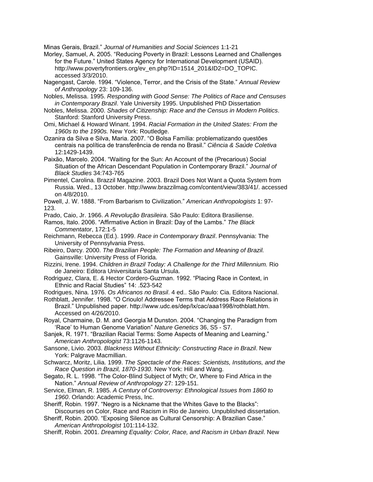Minas Gerais, Brazil." *Journal of Humanities and Social Sciences* 1:1-21

- Morley, Samuel, A. 2005. "Reducing Poverty in Brazil: Lessons Learned and Challenges for the Future." United States Agency for International Development (USAID). http://www.povertyfrontiers.org/ev\_en.php?ID=1514\_201&ID2=DO\_TOPIC. accessed 3/3/2010.
- Nagengast, Carole. 1994. "Violence, Terror, and the Crisis of the State." *Annual Review of Anthropology* 23: 109-136.
- Nobles, Melissa. 1995. *Responding with Good Sense: The Politics of Race and Censuses in Contemporary Brazil*. Yale University 1995. Unpublished PhD Dissertation
- Nobles, Melissa. 2000. *Shades of Citizenship: Race and the Census in Modern Politics*. Stanford: Stanford University Press.
- Omi, Michael & Howard Winant. 1994. *Racial Formation in the United States: From the 1960s to the 1990s.* New York: Routledge.
- Ozanira da Silva e Silva, Maria. 2007. "O Bolsa Família: problematizando questões centrais na política de transferência de renda no Brasil." *Ciência & Saúde Coletiva* 12:1429-1439.
- Paixão, Marcelo. 2004. "Waiting for the Sun: An Account of the (Precarious) Social Situation of the African Descendant Population in Contemporary Brazil." *Journal of Black Studies* 34:743-765
- Pimentel, Carolina. Brazzil Magazine. 2003. Brazil Does Not Want a Quota System from Russia. Wed., 13 October. http://www.brazzilmag.com/content/view/383/41/. accessed on 4/8/2010.
- Powell, J. W. 1888. "From Barbarism to Civilization." *American Anthropologists* 1: 97- 123.
- Prado, Caio, Jr. 1966. *A Revolução Brasileira*. São Paulo: Editora Brasiliense.
- Ramos, Italo. 2006. "Affirmative Action in Brazil: Day of the Lambs." *The Black Commentator*, 172:1-5
- Reichmann, Rebecca (Ed.). 1999. *Race in Contemporary Brazil*. Pennsylvania: The University of Pennsylvania Press.
- Ribeiro, Darcy. 2000. *The Brazilian People: The Formation and Meaning of Brazil.* Gainsville: University Press of Florida.
- Rizzini, Irene. 1994. *Children in Brazil Today: A Challenge for the Third Millennium.* Rio de Janeiro: Editora Universitaria Santa Ursula.
- Rodriguez, Clara, E. & Hector Cordero-Guzman. 1992. "Placing Race in Context, in Ethnic and Racial Studies" 14: .523-542
- Rodrigues, Nina. 1976. *Os Africanos no Brasil*. 4 ed.. São Paulo: Cia. Editora Nacional.
- Rothblatt, Jennifer. 1998. "O Crioulo! Addressee Terms that Address Race Relations in Brazil." Unpublished paper. http://www.udc.es/dep/lx/cac/aaa1998/rothblatt.htm. Accessed on 4/26/2010.
- Royal, Charmaine, D. M. and Georgia M Dunston. 2004. "Changing the Paradigm from 'Race' to Human Genome Variation" *Nature Genetics* 36, S5 - S7.
- Sanjek, R. 1971. "Brazilian Racial Terms: Some Aspects of Meaning and Learning." *American Anthropologist* 73:1126-1143.
- Sansone, Livio. 2003. *Blackness Without Ethnicity: Constructing Race in Brazil*. New York: Palgrave Macmillian.
- Schwarcz, Moritz, Lilia. 1999. *The Spectacle of the Races: Scientists, Institutions, and the Race Question in Brazil, 1870-1930*. New York: Hill and Wang.
- Segato, R. L. 1998. "The Color-Blind Subject of Myth; Or, Where to Find Africa in the Nation." *Annual Review of Anthropology* 27: 129-151.
- Service, Elman, R. 1985. *A Century of Controversy: Ethnological Issues from 1860 to 1960*. Orlando: Academic Press, Inc.
- Sheriff, Robin. 1997. "Negro is a Nickname that the Whites Gave to the Blacks": Discourses on Color, Race and Racism in Rio de Janeiro. Unpublished dissertation.

Sheriff, Robin. 2000. "Exposing Silence as Cultural Censorship: A Brazilian Case." *American Anthropologist* 101:114-132.

Sheriff, Robin. 2001. *Dreaming Equality: Color, Race, and Racism in Urban Brazil*. New